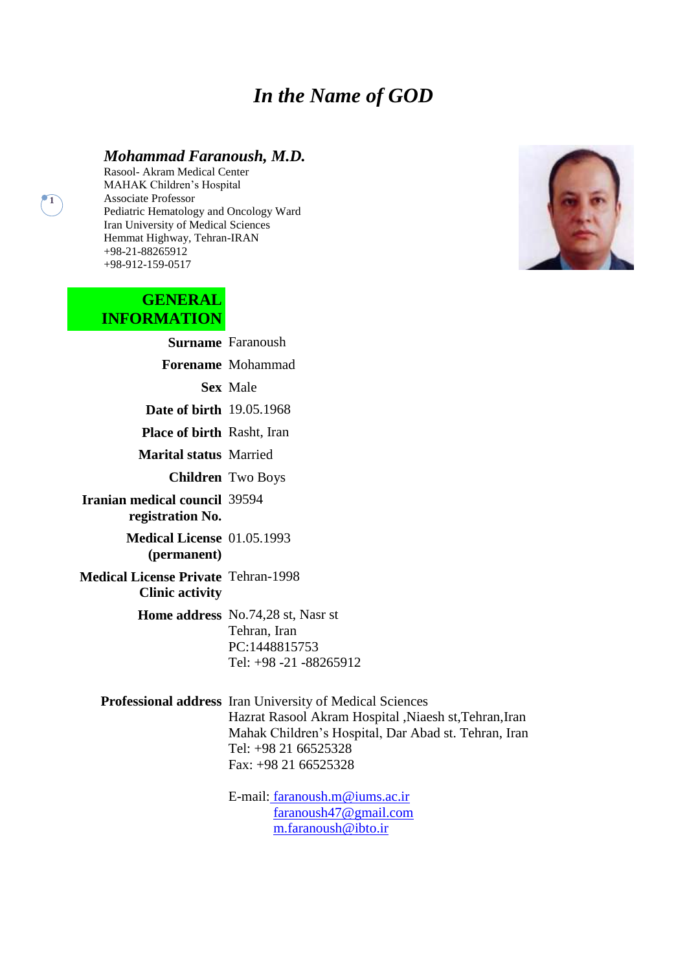# *In the Name of GOD*

#### *Mohammad Faranoush, M.D.*

Rasool- Akram Medical Center MAHAK Children's Hospital Associate Professor Pediatric Hematology and Oncology Ward Iran University of Medical Sciences Hemmat Highway, Tehran-IRAN +98-21-88265912 +98-912-159-0517

### **GENERAL INFORMATION**

**1**

**Surname** Faranoush **Forename** Mohammad **Sex** Male **Date of birth** 19.05.1968 **Place of birth** Rasht, Iran **Marital status** Married **Children** Two Boys **Iranian medical council**  39594 **registration No. Medical License**  01.05.1993 **(permanent) Medical License Private**  Tehran-1998 **Clinic activity Home address** No.74,28 st, Nasr st Tehran, Iran PC:1448815753 Tel: +98 -21 -88265912 **Professional address** Iran University of Medical Sciences

Hazrat Rasool Akram Hospital ,Niaesh st,Tehran,Iran Mahak Children's Hospital, Dar Abad st. Tehran, Iran Tel: +98 21 66525328 Fax: +98 21 66525328

E-mail: faranoush.m@iums.ac.ir [faranoush47@gmail.com](mailto:faranoush47@gmail.com) [m.faranoush@i](mailto:m.faranoush@)bto.ir

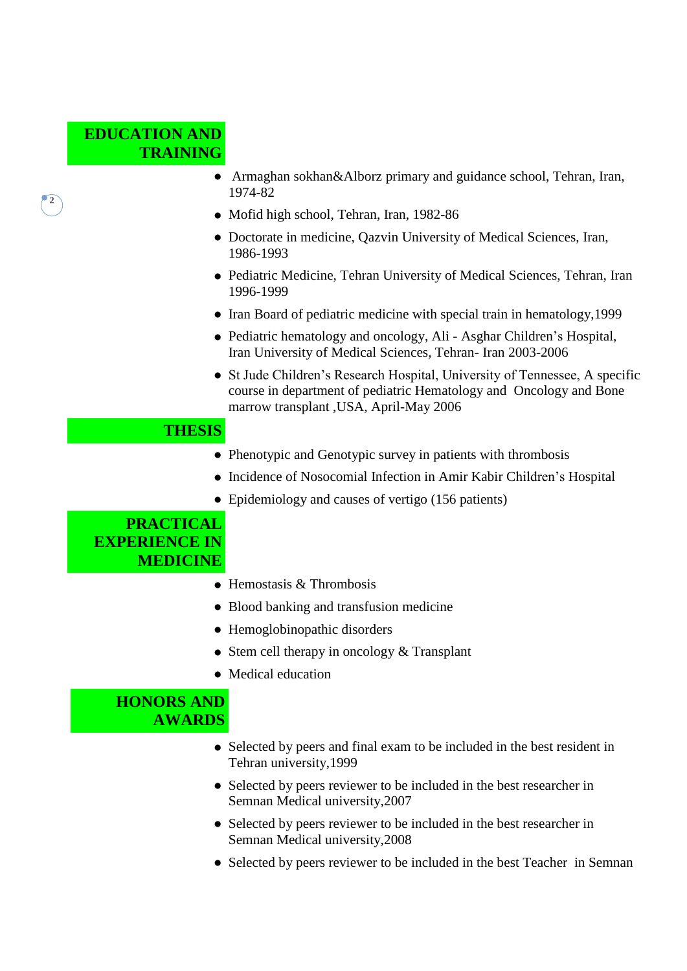# **EDUCATION AND TRAINING**

**2**

- **●** Armaghan sokhan&Alborz primary and guidance school, Tehran, Iran, 1974-82
- **●** Mofid high school, Tehran, Iran, 1982-86
- **●** Doctorate in medicine, Qazvin University of Medical Sciences, Iran, 1986-1993
- **●** Pediatric Medicine, Tehran University of Medical Sciences, Tehran, Iran 1996-1999
- **●** Iran Board of pediatric medicine with special train in hematology,1999
- **●** Pediatric hematology and oncology, Ali Asghar Children's Hospital, Iran University of Medical Sciences, Tehran- Iran 2003-2006
- **●** St Jude Children's Research Hospital, University of Tennessee, A specific course in department of pediatric Hematology and Oncology and Bone marrow transplant ,USA, April-May 2006

# **THESIS**

- **●** Phenotypic and Genotypic survey in patients with thrombosis
- **●** Incidence of Nosocomial Infection in Amir Kabir Children's Hospital
- **●** Epidemiology and causes of vertigo (156 patients)



- **●** Hemostasis & Thrombosis
- **●** Blood banking and transfusion medicine
- **●** Hemoglobinopathic disorders
- **●** Stem cell therapy in oncology & Transplant
- **●** Medical education



- **●** Selected by peers and final exam to be included in the best resident in Tehran university,1999
- **●** Selected by peers reviewer to be included in the best researcher in Semnan Medical university,2007
- **●** Selected by peers reviewer to be included in the best researcher in Semnan Medical university,2008
- **●** Selected by peers reviewer to be included in the best Teacher in Semnan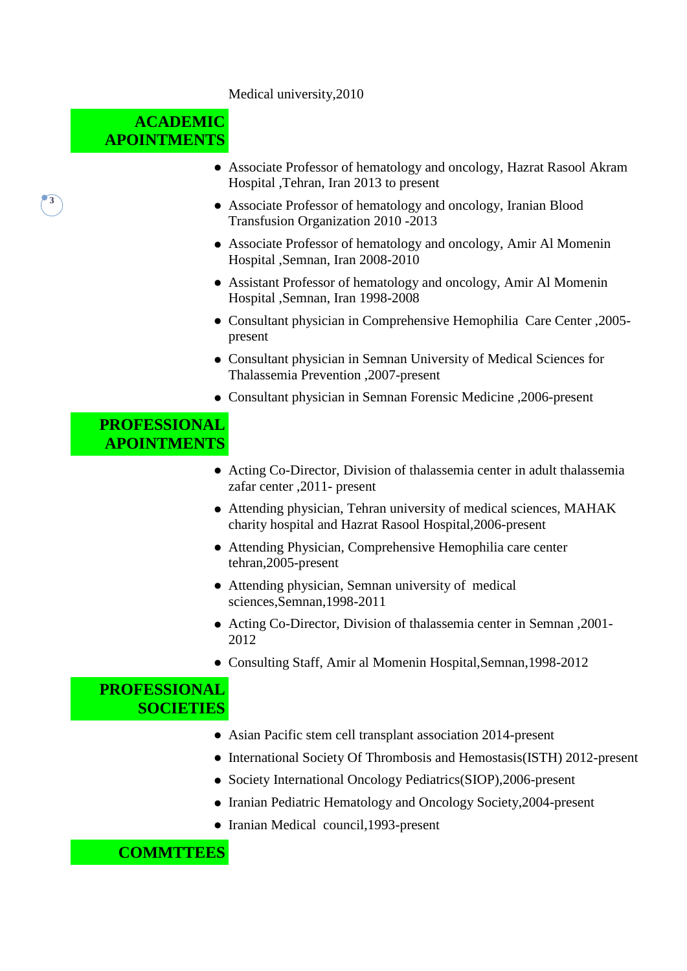#### Medical university,2010

# **ACADEMIC APOINTMENTS**

**3**

- **●** Associate Professor of hematology and oncology, Hazrat Rasool Akram Hospital ,Tehran, Iran 2013 to present
- **●** Associate Professor of hematology and oncology, Iranian Blood Transfusion Organization 2010 -2013
- **●** Associate Professor of hematology and oncology, Amir Al Momenin Hospital ,Semnan, Iran 2008-2010
- **●** Assistant Professor of hematology and oncology, Amir Al Momenin Hospital ,Semnan, Iran 1998-2008
- **●** Consultant physician in Comprehensive Hemophilia Care Center ,2005 present
- **●** Consultant physician in Semnan University of Medical Sciences for Thalassemia Prevention ,2007-present
- **●** Consultant physician in Semnan Forensic Medicine ,2006-present

## **PROFESSIONAL APOINTMENTS**

- **●** Acting Co-Director, Division of thalassemia center in adult thalassemia zafar center ,2011- present
- **●** Attending physician, Tehran university of medical sciences, MAHAK charity hospital and Hazrat Rasool Hospital,2006-present
- **●** Attending Physician, Comprehensive Hemophilia care center tehran,2005-present
- **●** Attending physician, Semnan university of medical sciences,Semnan,1998-2011
- **●** Acting Co-Director, Division of thalassemia center in Semnan ,2001- 2012
- **●** Consulting Staff, Amir al Momenin Hospital,Semnan,1998-2012

# **PROFESSIONAL SOCIETIES**

- **●** Asian Pacific stem cell transplant association 2014-present
- **●** International Society Of Thrombosis and Hemostasis(ISTH) 2012-present
- **●** Society International Oncology Pediatrics(SIOP),2006-present
- **●** Iranian Pediatric Hematology and Oncology Society,2004-present
- **●** Iranian Medical council,1993-present

### **COMMTTEES**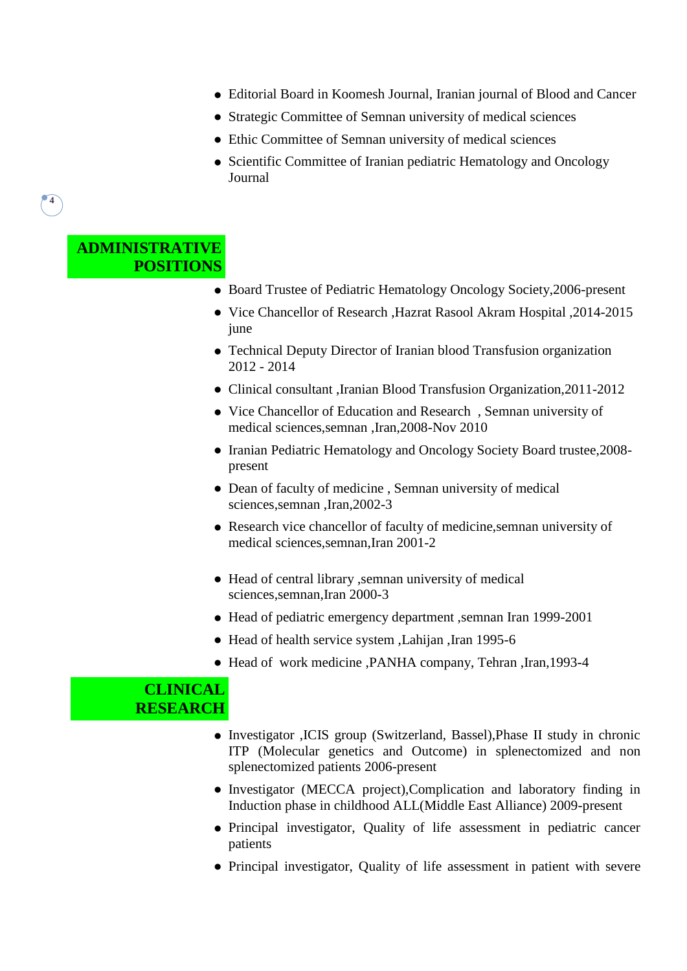- **●** Editorial Board in Koomesh Journal, Iranian journal of Blood and Cancer
- **●** Strategic Committee of Semnan university of medical sciences
- **●** Ethic Committee of Semnan university of medical sciences
- **●** Scientific Committee of Iranian pediatric Hematology and Oncology Journal

# **ADMINISTRATIVE POSITIONS**

- **●** Board Trustee of Pediatric Hematology Oncology Society,2006-present
- **●** Vice Chancellor of Research ,Hazrat Rasool Akram Hospital ,2014-2015 june
- **●** Technical Deputy Director of Iranian blood Transfusion organization 2012 - 2014
- **●** Clinical consultant ,Iranian Blood Transfusion Organization,2011-2012
- **●** Vice Chancellor of Education and Research , Semnan university of medical sciences,semnan ,Iran,2008-Nov 2010
- **●** Iranian Pediatric Hematology and Oncology Society Board trustee,2008 present
- **●** Dean of faculty of medicine , Semnan university of medical sciences,semnan ,Iran,2002-3
- **●** Research vice chancellor of faculty of medicine,semnan university of medical sciences,semnan,Iran 2001-2
- **●** Head of central library ,semnan university of medical sciences,semnan,Iran 2000-3
- **●** Head of pediatric emergency department ,semnan Iran 1999-2001
- **●** Head of health service system ,Lahijan ,Iran 1995-6
- **●** Head of work medicine ,PANHA company, Tehran ,Iran,1993-4



- **●** Investigator ,ICIS group (Switzerland, Bassel),Phase II study in chronic ITP (Molecular genetics and Outcome) in splenectomized and non splenectomized patients 2006-present
- **●** Investigator (MECCA project),Complication and laboratory finding in Induction phase in childhood ALL(Middle East Alliance) 2009-present
- **●** Principal investigator, Quality of life assessment in pediatric cancer patients
- **●** Principal investigator, Quality of life assessment in patient with severe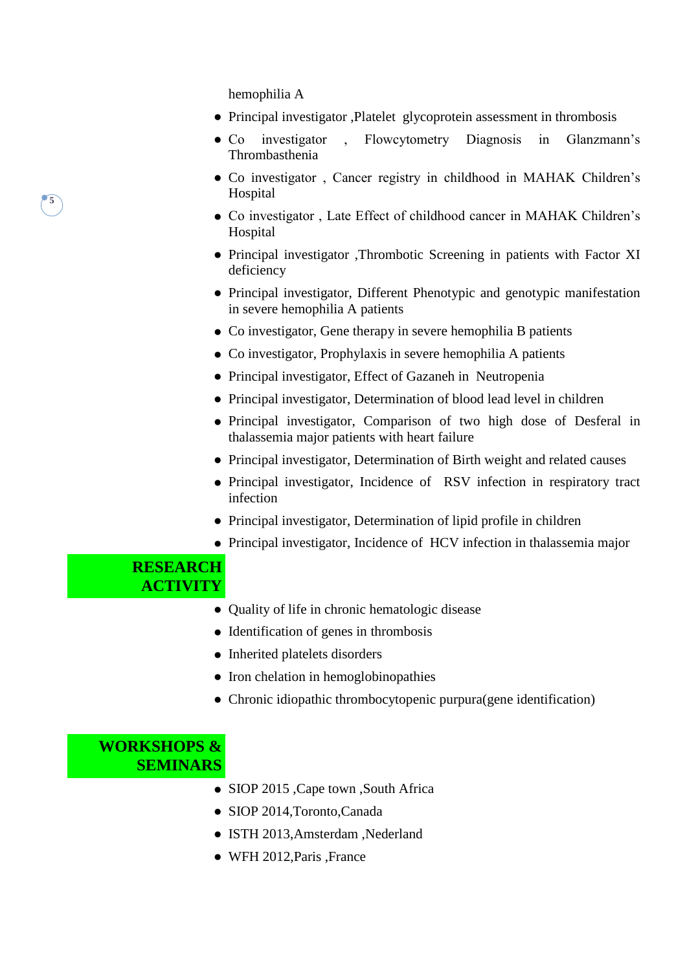hemophilia A

- **●** Principal investigator ,Platelet glycoprotein assessment in thrombosis
- **●** Co investigator , Flowcytometry Diagnosis in Glanzmann's Thrombasthenia
- **●** Co investigator , Cancer registry in childhood in MAHAK Children's Hospital
- **●** Co investigator , Late Effect of childhood cancer in MAHAK Children's Hospital
- **●** Principal investigator ,Thrombotic Screening in patients with Factor XI deficiency
- **●** Principal investigator, Different Phenotypic and genotypic manifestation in severe hemophilia A patients
- **●** Co investigator, Gene therapy in severe hemophilia B patients
- **●** Co investigator, Prophylaxis in severe hemophilia A patients
- **●** Principal investigator, Effect of Gazaneh in Neutropenia
- **●** Principal investigator, Determination of blood lead level in children
- **●** Principal investigator, Comparison of two high dose of Desferal in thalassemia major patients with heart failure
- **●** Principal investigator, Determination of Birth weight and related causes
- **●** Principal investigator, Incidence of RSV infection in respiratory tract infection
- **●** Principal investigator, Determination of lipid profile in children
- **●** Principal investigator, Incidence of HCV infection in thalassemia major

## **RESEARCH ACTIVITY**

**5**

- **●** Quality of life in chronic hematologic disease
- **●** Identification of genes in thrombosis
- **●** Inherited platelets disorders
- **●** Iron chelation in hemoglobinopathies
- **●** Chronic idiopathic thrombocytopenic purpura(gene identification)

# **WORKSHOPS & SEMINARS**

- SIOP 2015 ,Cape town ,South Africa
- **●** SIOP 2014,Toronto,Canada
- **●** ISTH 2013,Amsterdam ,Nederland
- **●** WFH 2012,Paris ,France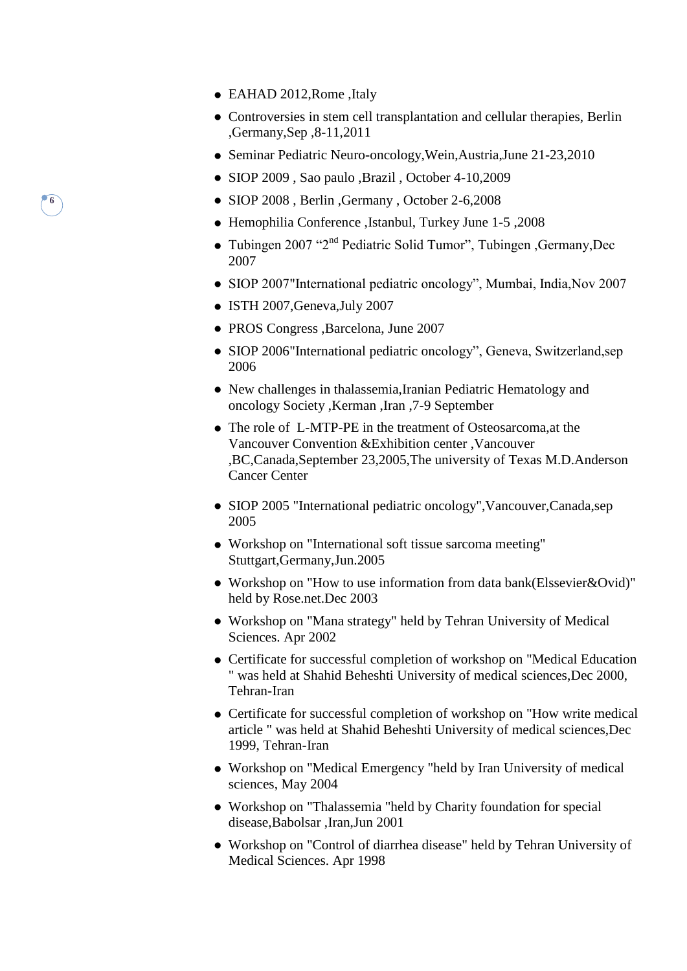**●** EAHAD 2012,Rome ,Italy

- **●** Controversies in stem cell transplantation and cellular therapies, Berlin ,Germany,Sep ,8-11,2011
- **●** Seminar Pediatric Neuro-oncology,Wein,Austria,June 21-23,2010
- **●** SIOP 2009 , Sao paulo ,Brazil , October 4-10,2009
- SIOP 2008 , Berlin ,Germany , October 2-6,2008
- **●** Hemophilia Conference ,Istanbul, Turkey June 1-5 ,2008
- **●** Tubingen 2007 "2nd Pediatric Solid Tumor", Tubingen ,Germany,Dec 2007
- **●** SIOP 2007"International pediatric oncology", Mumbai, India,Nov 2007
- **●** ISTH 2007,Geneva,July 2007
- **●** PROS Congress ,Barcelona, June 2007
- **●** SIOP 2006"International pediatric oncology", Geneva, Switzerland,sep 2006
- **●** New challenges in thalassemia,Iranian Pediatric Hematology and oncology Society ,Kerman ,Iran ,7-9 September
- **●** The role of L-MTP-PE in the treatment of Osteosarcoma,at the Vancouver Convention &Exhibition center ,Vancouver ,BC,Canada,September 23,2005,The university of Texas M.D.Anderson Cancer Center
- **●** SIOP 2005 "International pediatric oncology",Vancouver,Canada,sep 2005
- **●** Workshop on "International soft tissue sarcoma meeting" Stuttgart,Germany,Jun.2005
- **●** Workshop on "How to use information from data bank(Elssevier&Ovid)" held by Rose.net.Dec 2003
- **●** Workshop on "Mana strategy" held by Tehran University of Medical Sciences. Apr 2002
- **●** Certificate for successful completion of workshop on "Medical Education " was held at Shahid Beheshti University of medical sciences,Dec 2000, Tehran-Iran
- **●** Certificate for successful completion of workshop on "How write medical article " was held at Shahid Beheshti University of medical sciences,Dec 1999, Tehran-Iran
- **●** Workshop on "Medical Emergency "held by Iran University of medical sciences, May 2004
- **●** Workshop on "Thalassemia "held by Charity foundation for special disease,Babolsar ,Iran,Jun 2001
- **●** Workshop on "Control of diarrhea disease" held by Tehran University of Medical Sciences. Apr 1998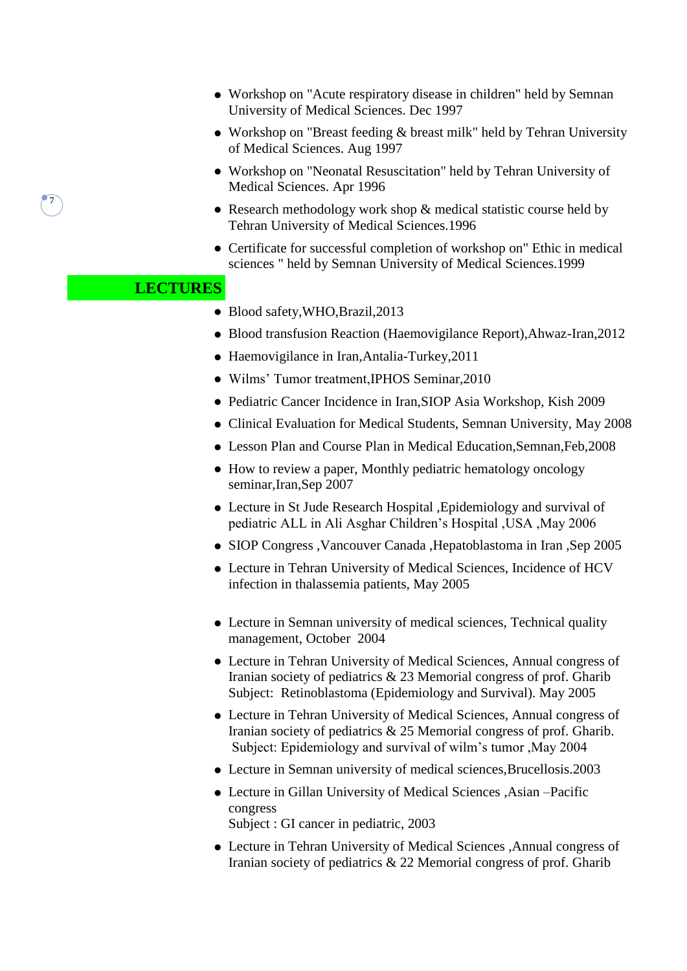- **●** Workshop on "Acute respiratory disease in children" held by Semnan University of Medical Sciences. Dec 1997
- **●** Workshop on "Breast feeding & breast milk" held by Tehran University of Medical Sciences. Aug 1997
- **●** Workshop on "Neonatal Resuscitation" held by Tehran University of Medical Sciences. Apr 1996
- **●** Research methodology work shop & medical statistic course held by Tehran University of Medical Sciences.1996
- **●** Certificate for successful completion of workshop on" Ethic in medical sciences " held by Semnan University of Medical Sciences.1999

### **LECTURES**

- **●** Blood safety,WHO,Brazil,2013
- **●** Blood transfusion Reaction (Haemovigilance Report),Ahwaz-Iran,2012
- **●** Haemovigilance in Iran,Antalia-Turkey,2011
- **●** Wilms' Tumor treatment,IPHOS Seminar,2010
- **●** Pediatric Cancer Incidence in Iran,SIOP Asia Workshop, Kish 2009
- **●** Clinical Evaluation for Medical Students, Semnan University, May 2008
- **●** Lesson Plan and Course Plan in Medical Education,Semnan,Feb,2008
- **●** How to review a paper, Monthly pediatric hematology oncology seminar,Iran,Sep 2007
- **●** Lecture in St Jude Research Hospital ,Epidemiology and survival of pediatric ALL in Ali Asghar Children's Hospital ,USA ,May 2006
- **●** SIOP Congress ,Vancouver Canada ,Hepatoblastoma in Iran ,Sep 2005
- **●** Lecture in Tehran University of Medical Sciences, Incidence of HCV infection in thalassemia patients, May 2005
- **●** Lecture in Semnan university of medical sciences, Technical quality management, October 2004
- **●** Lecture in Tehran University of Medical Sciences, Annual congress of Iranian society of pediatrics & 23 Memorial congress of prof. Gharib Subject: Retinoblastoma (Epidemiology and Survival). May 2005
- **●** Lecture in Tehran University of Medical Sciences, Annual congress of Iranian society of pediatrics  $\&$  25 Memorial congress of prof. Gharib. Subject: Epidemiology and survival of wilm's tumor ,May 2004
- **●** Lecture in Semnan university of medical sciences,Brucellosis.2003
- **●** Lecture in Gillan University of Medical Sciences ,Asian –Pacific congress
	- Subject : GI cancer in pediatric, 2003
- **●** Lecture in Tehran University of Medical Sciences ,Annual congress of Iranian society of pediatrics  $\&$  22 Memorial congress of prof. Gharib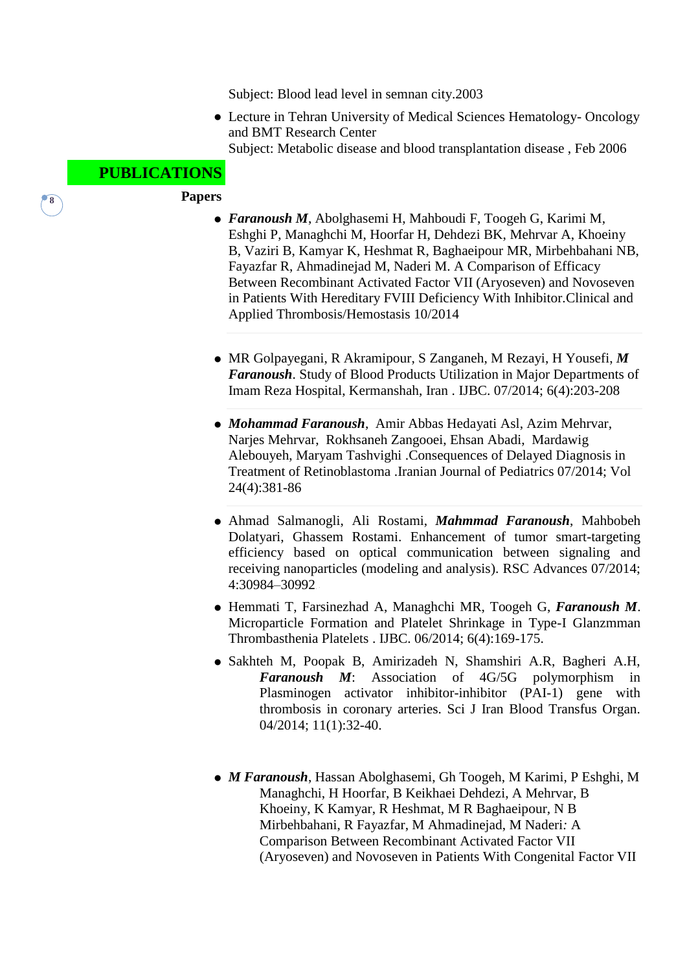Subject: Blood lead level in semnan city.2003

**●** Lecture in Tehran University of Medical Sciences Hematology- Oncology and BMT Research Center

Subject: Metabolic disease and blood transplantation disease , Feb 2006

# **PUBLICATIONS**

**8**

#### **Papers**

- **●** *Faranoush M*, [Abolghasemi H,](https://www.researchgate.net/researcher/37949741_Abolghasemi_H) [Mahboudi F,](https://www.researchgate.net/researcher/2057228628_Mahboudi_F) [Toogeh G,](https://www.researchgate.net/researcher/2045767750_Toogeh_G) [Karimi M,](https://www.researchgate.net/researcher/75405602_Karimi_M) [Eshghi P,](https://www.researchgate.net/researcher/14382411_Eshghi_P) [Managhchi M,](https://www.researchgate.net/researcher/2045759706_Managhchi_M) [Hoorfar H,](https://www.researchgate.net/researcher/13440176_Hoorfar_H) [Dehdezi BK,](https://www.researchgate.net/researcher/2045725068_Dehdezi_BK) [Mehrvar A,](https://www.researchgate.net/researcher/27247023_Mehrvar_A) [Khoeiny](https://www.researchgate.net/researcher/2045725005_Khoeiny_B)  [B,](https://www.researchgate.net/researcher/2045725005_Khoeiny_B) [Vaziri B,](https://www.researchgate.net/researcher/2057231304_Vaziri_B) [Kamyar K,](https://www.researchgate.net/researcher/2045764825_Kamyar_K) [Heshmat R,](https://www.researchgate.net/researcher/2045765047_Heshmat_R) [Baghaeipour MR,](https://www.researchgate.net/researcher/2045734703_Baghaeipour_MR) [Mirbehbahani NB,](https://www.researchgate.net/researcher/76185937_Mirbehbahani_NB) [Fayazfar R,](https://www.researchgate.net/researcher/2045726307_Fayazfar_R) [Ahmadinejad M,](https://www.researchgate.net/researcher/2045763700_Ahmadinejad_M) [Naderi M.](https://www.researchgate.net/researcher/59214891_Naderi_M) A Comparison of Efficacy Between Recombinant Activated Factor VII (Aryoseven) and Novoseven in Patients With Hereditary FVIII Deficiency With Inhibitor.Clinical and Applied Thrombosis/Hemostasis 10/2014
- **●** [MR Golpayegani,](https://www.researchgate.net/researcher/2045894983_MR_Golpayegani) [R Akramipour,](https://www.researchgate.net/researcher/2057224902_R_Akramipour) [S Zanganeh,](https://www.researchgate.net/researcher/2057225479_S_Zanganeh) [M Rezayi,](https://www.researchgate.net/researcher/2057230904_M_Rezayi) [H Yousefi,](https://www.researchgate.net/researcher/2057230737_H_Yousefi) *M Faranoush*. [Study of Blood Products Utilization in Major Departments of](https://www.researchgate.net/publication/267632628_Study_of_Blood_Products_Utilization_in_Major_Departments_of_Imam_Reza_Hospital_Kermanshah_Iran?ev=prf_pub)  [Imam Reza Hospital, Kermanshah, Iran](https://www.researchgate.net/publication/267632628_Study_of_Blood_Products_Utilization_in_Major_Departments_of_Imam_Reza_Hospital_Kermanshah_Iran?ev=prf_pub) . IJBC. 07/2014; 6(4):203-208
- **●** *Mohammad Faranoush*, [Amir Abbas Hedayati Asl,](https://www.researchgate.net/researcher/2052218336_MD_Amir_Abbas_Hedayati_Asl) [Azim Mehrvar,](https://www.researchgate.net/researcher/2005880065_Azim_Mehrvar) [Narjes Mehrvar,](https://www.researchgate.net/researcher/2052202439_MSc_Narjes_Mehrvar) [Rokhsaneh Zangooei,](https://www.researchgate.net/researcher/2052208995_MD_Rokhsaneh_Zangooei) [Ehsan Abadi,](https://www.researchgate.net/researcher/2052217029_Ehsan_Abadi) [Mardawig](https://www.researchgate.net/researcher/2050876483_MD_Mardawig_Alebouyeh)  [Alebouyeh,](https://www.researchgate.net/researcher/2050876483_MD_Mardawig_Alebouyeh) [Maryam Tashvighi](https://www.researchgate.net/researcher/2005894374_Maryam_Tashvighi) [.Consequences of Delayed Diagnosis in](https://www.researchgate.net/publication/264464224_Consequences_of_Delayed_Diagnosis_in_Treatment_of_Retinoblastoma?ev=prf_pub)  [Treatment of Retinoblastoma](https://www.researchgate.net/publication/264464224_Consequences_of_Delayed_Diagnosis_in_Treatment_of_Retinoblastoma?ev=prf_pub) .Iranian Journal of Pediatrics 07/2014; Vol 24(4):381-86
- **●** [Ahmad Salmanogli,](https://www.researchgate.net/researcher/28225125_Ahmad_Salmanogli) [Ali Rostami,](https://www.researchgate.net/researcher/70524789_Ali_Rostami) *Mahmmad Faranoush*, [Mahbobeh](https://www.researchgate.net/researcher/2051667494_Mahbobeh_Dolatyari)  [Dolatyari,](https://www.researchgate.net/researcher/2051667494_Mahbobeh_Dolatyari) [Ghassem Rostami.](https://www.researchgate.net/researcher/10596535_Ghassem_Rostami) Enhancement of tumor smart-targeting efficiency based on optical communication between signaling and receiving nanoparticles (modeling and analysis). RSC Advances 07/2014; 4:30984–30992. ·
- **●** [Hemmati T,](https://www.researchgate.net/researcher/2057230234_Hemmati_T) [Farsinezhad A,](https://www.researchgate.net/researcher/2057227214_Farsinezhad_A) [Managhchi MR,](https://www.researchgate.net/researcher/2057224972_Managhchi_MR) [Toogeh G,](https://www.researchgate.net/researcher/2045767750_Toogeh_G) *Faranoush M*. [Microparticle Formation and Platelet Shrinkage in Type-I Glanzmman](https://www.researchgate.net/publication/267632493_Microparticle_Formation_and_Platelet_Shrinkage_in_Type-I_Glanzmman_Thrombasthenia_Platelets?ev=prf_pub)  [Thrombasthenia Platelets](https://www.researchgate.net/publication/267632493_Microparticle_Formation_and_Platelet_Shrinkage_in_Type-I_Glanzmman_Thrombasthenia_Platelets?ev=prf_pub) . IJBC. 06/2014; 6(4):169-175.
- **●** Sakhteh M, Poopak B, Amirizadeh N, Shamshiri A.R, Bagheri A.H, *Faranoush M*: Association of 4G/5G polymorphism in Plasminogen activator inhibitor-inhibitor (PAI-1) gene with thrombosis in coronary arteries. Sci J Iran Blood Transfus Organ. 04/2014; 11(1):32-40.
- **●** *M Faranoush*, Hassan Abolghasemi, Gh Toogeh, M Karimi, P Eshghi, M Managhchi, H Hoorfar, B Keikhaei Dehdezi, A Mehrvar, B Khoeiny, K Kamyar, R Heshmat, M R Baghaeipour, N B Mirbehbahani, R Fayazfar, M Ahmadinejad, M Naderi*:* A Comparison Between Recombinant Activated Factor VII (Aryoseven) and Novoseven in Patients With Congenital Factor VII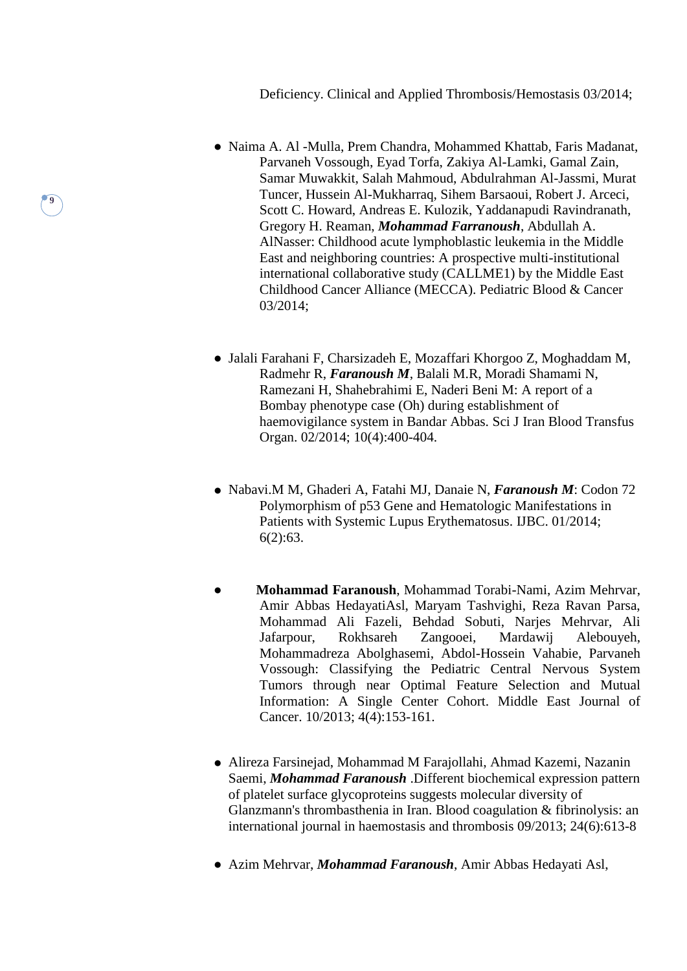**●** Naima A. Al -Mulla, Prem Chandra, Mohammed Khattab, Faris Madanat, Parvaneh Vossough, Eyad Torfa, Zakiya Al-Lamki, Gamal Zain, Samar Muwakkit, Salah Mahmoud, Abdulrahman Al-Jassmi, Murat Tuncer, Hussein Al-Mukharraq, Sihem Barsaoui, Robert J. Arceci, Scott C. Howard, Andreas E. Kulozik, Yaddanapudi Ravindranath, Gregory H. Reaman, *Mohammad Farranoush*, Abdullah A. AlNasser: Childhood acute lymphoblastic leukemia in the Middle East and neighboring countries: A prospective multi-institutional international collaborative study (CALLME1) by the Middle East Childhood Cancer Alliance (MECCA). Pediatric Blood & Cancer 03/2014;

- **●** Jalali Farahani F, Charsizadeh E, Mozaffari Khorgoo Z, Moghaddam M, Radmehr R, *Faranoush M*, Balali M.R, Moradi Shamami N, Ramezani H, Shahebrahimi E, Naderi Beni M: A report of a Bombay phenotype case (Oh) during establishment of haemovigilance system in Bandar Abbas. Sci J Iran Blood Transfus Organ. 02/2014; 10(4):400-404.
- **●** Nabavi.M M, Ghaderi A, Fatahi MJ, Danaie N, *Faranoush M*: Codon 72 Polymorphism of p53 Gene and Hematologic Manifestations in Patients with Systemic Lupus Erythematosus. IJBC. 01/2014; 6(2):63.
- **● Mohammad Faranoush**, Mohammad Torabi-Nami, Azim Mehrvar, Amir Abbas HedayatiAsl, Maryam Tashvighi, Reza Ravan Parsa, Mohammad Ali Fazeli, Behdad Sobuti, Narjes Mehrvar, Ali Jafarpour, Rokhsareh Zangooei, Mardawij Alebouyeh, Mohammadreza Abolghasemi, Abdol-Hossein Vahabie, Parvaneh Vossough: Classifying the Pediatric Central Nervous System Tumors through near Optimal Feature Selection and Mutual Information: A Single Center Cohort. Middle East Journal of Cancer. 10/2013; 4(4):153-161.
- **●** [Alireza Farsinejad,](https://www.researchgate.net/researcher/2006644769_Alireza_Farsinejad/) [Mohammad M Farajollahi,](https://www.researchgate.net/researcher/2000495721_Mohammad_M_Farajollahi/) [Ahmad Kazemi,](https://www.researchgate.net/researcher/2006661446_Ahmad_Kazemi/) [Nazanin](https://www.researchgate.net/researcher/2006664679_Nazanin_Saemi/)  [Saemi,](https://www.researchgate.net/researcher/2006664679_Nazanin_Saemi/) *Mohammad Faranoush* [.Different biochemical expression pattern](https://www.researchgate.net/publication/255177148_Different_biochemical_expression_pattern_of_platelet_surface_glycoproteins_suggests_molecular_diversity_of_Glanzmann%27s_thrombasthenia_in_Iran?ev=prf_pub)  [of platelet surface glycoproteins suggests molecular diversity of](https://www.researchgate.net/publication/255177148_Different_biochemical_expression_pattern_of_platelet_surface_glycoproteins_suggests_molecular_diversity_of_Glanzmann%27s_thrombasthenia_in_Iran?ev=prf_pub)  [Glanzmann's thrombasthenia in Iran.](https://www.researchgate.net/publication/255177148_Different_biochemical_expression_pattern_of_platelet_surface_glycoproteins_suggests_molecular_diversity_of_Glanzmann%27s_thrombasthenia_in_Iran?ev=prf_pub) Blood coagulation & fibrinolysis: an international journal in haemostasis and thrombosis 09/2013; 24(6):613-8
- **●** [Azim Mehrvar,](https://www.researchgate.net/researcher/2005880065_Azim_Mehrvar/) *Mohammad Faranoush*, [Amir Abbas Hedayati Asl,](https://www.researchgate.net/researcher/2028555890_Amir_Abbas_Hedayati_Asl/)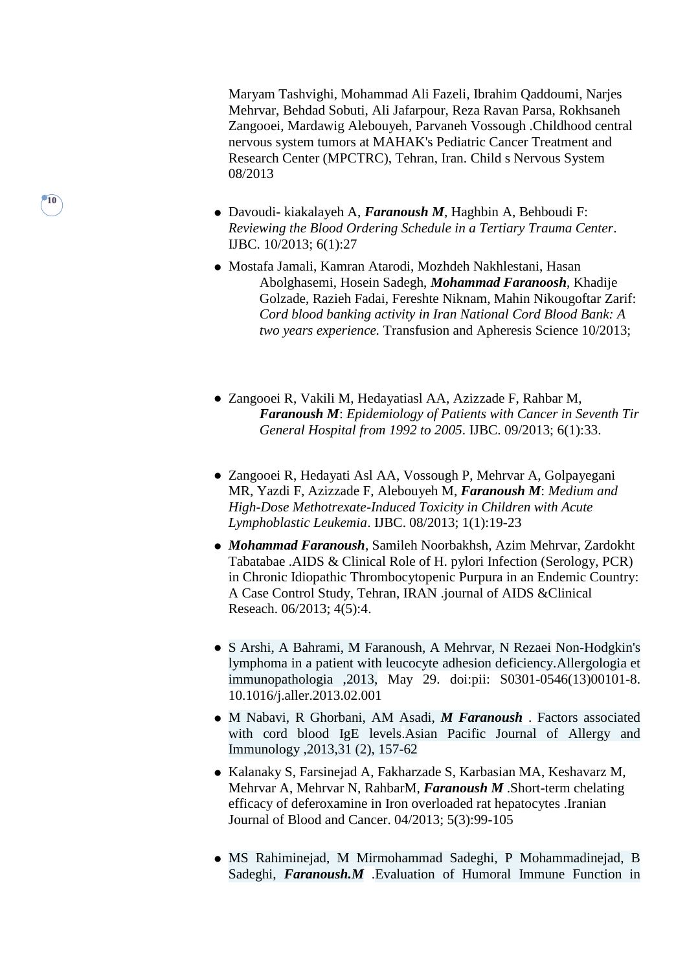[Maryam Tashvighi,](https://www.researchgate.net/researcher/2005894374_Maryam_Tashvighi/) [Mohammad Ali Fazeli,](https://www.researchgate.net/researcher/2028557150_Mohammad_Ali_Fazeli/) [Ibrahim Qaddoumi,](https://www.researchgate.net/researcher/2028815946_Ibrahim_Qaddoumi/) [Narjes](https://www.researchgate.net/researcher/2005898701_Narjes_Mehrvar/)  [Mehrvar,](https://www.researchgate.net/researcher/2005898701_Narjes_Mehrvar/) [Behdad Sobuti,](https://www.researchgate.net/researcher/2028555263_Behdad_Sobuti/) [Ali Jafarpour,](https://www.researchgate.net/researcher/2028821892_Ali_Jafarpour/) [Reza Ravan Parsa,](https://www.researchgate.net/researcher/2028559150_Reza_Ravan_Parsa/) [Rokhsaneh](https://www.researchgate.net/researcher/2028557822_Rokhsaneh_Zangooei/)  [Zangooei,](https://www.researchgate.net/researcher/2028557822_Rokhsaneh_Zangooei/) [Mardawig Alebouyeh,](https://www.researchgate.net/researcher/10847082_Mardawig_Alebouyeh/) [Parvaneh Vossough](https://www.researchgate.net/researcher/39408451_Parvaneh_Vossough/) [.Childhood central](https://www.researchgate.net/publication/255952670_Childhood_central_nervous_system_tumors_at_MAHAK%27s_Pediatric_Cancer_Treatment_and_Research_Center_%28MPCTRC%29_Tehran_Iran?ev=prf_pub)  [nervous system tumors at MAHAK's Pediatric Cancer Treatment and](https://www.researchgate.net/publication/255952670_Childhood_central_nervous_system_tumors_at_MAHAK%27s_Pediatric_Cancer_Treatment_and_Research_Center_%28MPCTRC%29_Tehran_Iran?ev=prf_pub)  [Research Center \(MPCTRC\), Tehran, Iran.](https://www.researchgate.net/publication/255952670_Childhood_central_nervous_system_tumors_at_MAHAK%27s_Pediatric_Cancer_Treatment_and_Research_Center_%28MPCTRC%29_Tehran_Iran?ev=prf_pub) Child s Nervous System 08/2013

**●** Davoudi- kiakalayeh A, *Faranoush M*, Haghbin A, Behboudi F: *Reviewing the Blood Ordering Schedule in a Tertiary Trauma Center*. IJBC. 10/2013; 6(1):27

- **●** Mostafa Jamali, Kamran Atarodi, Mozhdeh Nakhlestani, Hasan Abolghasemi, Hosein Sadegh, *Mohammad Faranoosh*, Khadije Golzade, Razieh Fadai, Fereshte Niknam, Mahin Nikougoftar Zarif: *Cord blood banking activity in Iran National Cord Blood Bank: A two years experience.* Transfusion and Apheresis Science 10/2013;
- **●** Zangooei R, Vakili M, Hedayatiasl AA, Azizzade F, Rahbar M, *Faranoush M*: *Epidemiology of Patients with Cancer in Seventh Tir General Hospital from 1992 to 2005*. IJBC. 09/2013; 6(1):33.
- **●** Zangooei R, Hedayati Asl AA, Vossough P, Mehrvar A, Golpayegani MR, Yazdi F, Azizzade F, Alebouyeh M, *Faranoush M*: *Medium and High-Dose Methotrexate-Induced Toxicity in Children with Acute Lymphoblastic Leukemia*. IJBC. 08/2013; 1(1):19-23
- **●** *Mohammad Faranoush*, [Samileh Noorbakhsh,](https://www.researchgate.net/researcher/2020075467_Samileh_Noorbakhsh/) [Azim Mehrvar,](https://www.researchgate.net/researcher/2005880065_Azim_Mehrvar/) [Zardokht](https://www.researchgate.net/researcher/2020782910_Zardokht_Tabatabae/)  [Tabatabae](https://www.researchgate.net/researcher/2020782910_Zardokht_Tabatabae/) [.AIDS & Clinical Role of H. pylori Infection \(Serology, PCR\)](https://www.researchgate.net/publication/247774441_AIDS__Clinical_Role_of_H._pylori_Infection_%28Serology_PCR%29_in_Chronic_Idiopathic_Thrombocytopenic_Purpura_in_an_Endemic_Country_A_Case_Control_Study_Tehran_IRAN?ev=prf_pub)  [in Chronic Idiopathic Thrombocytopenic Purpura in an Endemic Country:](https://www.researchgate.net/publication/247774441_AIDS__Clinical_Role_of_H._pylori_Infection_%28Serology_PCR%29_in_Chronic_Idiopathic_Thrombocytopenic_Purpura_in_an_Endemic_Country_A_Case_Control_Study_Tehran_IRAN?ev=prf_pub)  [A Case Control Study, Tehran, IRAN](https://www.researchgate.net/publication/247774441_AIDS__Clinical_Role_of_H._pylori_Infection_%28Serology_PCR%29_in_Chronic_Idiopathic_Thrombocytopenic_Purpura_in_an_Endemic_Country_A_Case_Control_Study_Tehran_IRAN?ev=prf_pub) .journal of AIDS &Clinical Reseach. 06/2013; 4(5):4.
- **●** S Arshi, A Bahrami, M Faranoush, A Mehrvar, N Rezaei [Non-Hodgkin's](http://scholar.google.com/citations?view_op=view_citation&hl=nl&user=DUl538sAAAAJ&citation_for_view=DUl538sAAAAJ:RGFaLdJalmkC)  [lymphoma in a patient with leucocyte adhesion deficiency.A](http://scholar.google.com/citations?view_op=view_citation&hl=nl&user=DUl538sAAAAJ&citation_for_view=DUl538sAAAAJ:RGFaLdJalmkC)llergologia et immunopathologia ,2013, May 29. doi:pii: S0301-0546(13)00101-8. 10.1016/j.aller.2013.02.001
- **●** M Nabavi, R Ghorbani, AM Asadi, *M Faranoush* . [Factors associated](http://scholar.google.com/citations?view_op=view_citation&hl=nl&user=DUl538sAAAAJ&citation_for_view=DUl538sAAAAJ:isC4tDSrTZIC)  [with cord blood IgE levels.](http://scholar.google.com/citations?view_op=view_citation&hl=nl&user=DUl538sAAAAJ&citation_for_view=DUl538sAAAAJ:isC4tDSrTZIC)Asian Pacific Journal of Allergy and Immunology ,2013,31 (2), 157-62
- **●** [Kalanaky S,](https://www.researchgate.net/researcher/2023648593_Kalanaky_S/) [Farsinejad A,](https://www.researchgate.net/researcher/57758588_Farsinejad_A/) [Fakharzade S,](https://www.researchgate.net/researcher/2023135042_Fakharzade_S/) [Karbasian MA,](https://www.researchgate.net/researcher/2023225959_Karbasian_MA/) [Keshavarz M,](https://www.researchgate.net/researcher/2023243351_Keshavarz_M/) [Mehrvar A,](https://www.researchgate.net/researcher/27247023_Mehrvar_A/) [Mehrvar N,](https://www.researchgate.net/researcher/31640753_Mehrvar_N/) [RahbarM,](https://www.researchgate.net/researcher/2023204783_RahbarM/) *Faranoush M* [.Short-term chelating](https://www.researchgate.net/publication/250612663_Short-term_chelating_efficacy_of_deferoxamine_in_Iron_overloaded_rat_hepatocytes?ev=prf_pub)  [efficacy of deferoxamine in Iron overloaded rat hepatocytes](https://www.researchgate.net/publication/250612663_Short-term_chelating_efficacy_of_deferoxamine_in_Iron_overloaded_rat_hepatocytes?ev=prf_pub) .Iranian Journal of Blood and Cancer. 04/2013; 5(3):99-105
- **●** MS Rahiminejad, M Mirmohammad Sadeghi, P Mohammadinejad, B Sadeghi, *Faranoush.M* [.Evaluation of Humoral Immune Function in](http://scholar.google.com/citations?view_op=view_citation&hl=nl&user=DUl538sAAAAJ&citation_for_view=DUl538sAAAAJ:bEWYMUwI8FkC)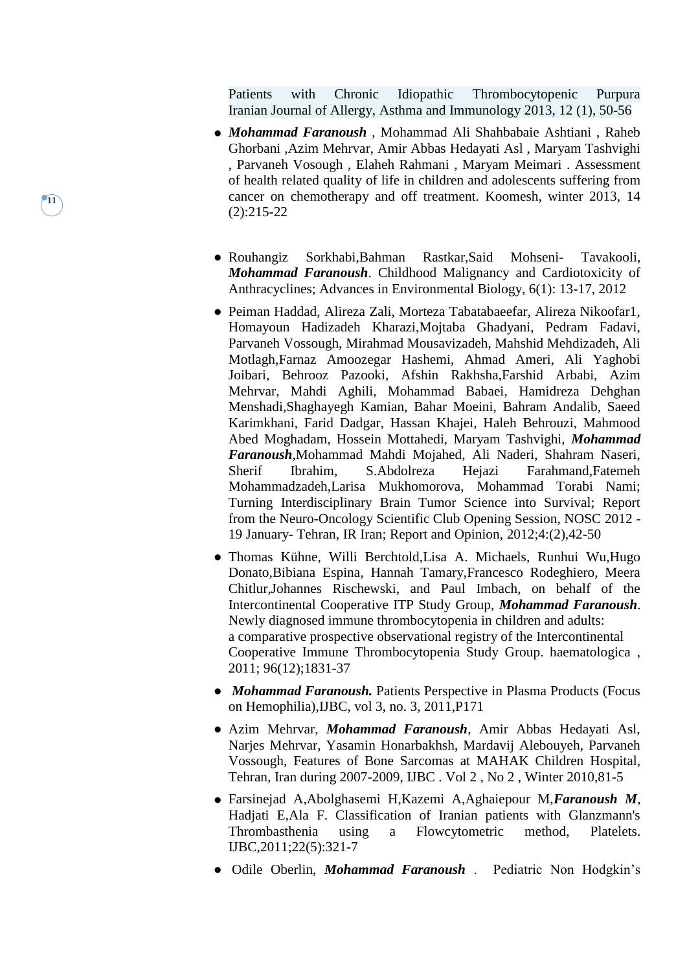[Patients with Chronic Idiopathic Thrombocytopenic Purpura](http://scholar.google.com/citations?view_op=view_citation&hl=nl&user=DUl538sAAAAJ&citation_for_view=DUl538sAAAAJ:bEWYMUwI8FkC) Iranian Journal of Allergy, Asthma and Immunology 2013, 12 (1), 50-56

**●** *Mohammad Faranoush* , Mohammad Ali Shahbabaie Ashtiani , Raheb Ghorbani ,Azim Mehrvar, Amir Abbas Hedayati Asl , Maryam Tashvighi , Parvaneh Vosough , Elaheh Rahmani , Maryam Meimari . Assessment of health related quality of life in children and adolescents suffering from cancer on chemotherapy and off treatment. Koomesh, winter 2013, 14 (2):215-22

- **●** Rouhangiz Sorkhabi,Bahman Rastkar,Said Mohseni- Tavakooli, *Mohammad Faranoush*. Childhood Malignancy and Cardiotoxicity of Anthracyclines; Advances in Environmental Biology, 6(1): 13-17, 2012
- **●** Peiman Haddad, Alireza Zali, Morteza Tabatabaeefar, Alireza Nikoofar1, Homayoun Hadizadeh Kharazi,Mojtaba Ghadyani, Pedram Fadavi, Parvaneh Vossough, Mirahmad Mousavizadeh, Mahshid Mehdizadeh, Ali Motlagh,Farnaz Amoozegar Hashemi, Ahmad Ameri, Ali Yaghobi Joibari, Behrooz Pazooki, Afshin Rakhsha,Farshid Arbabi, Azim Mehrvar, Mahdi Aghili, Mohammad Babaei*,* Hamidreza Dehghan Menshadi,Shaghayegh Kamian, Bahar Moeini, Bahram Andalib, Saeed Karimkhani, Farid Dadgar, Hassan Khajei, Haleh Behrouzi, Mahmood Abed Moghadam, Hossein Mottahedi, Maryam Tashvighi, *Mohammad Faranoush*,Mohammad Mahdi Mojahed, Ali Naderi, Shahram Naseri, Sherif Ibrahim, S.Abdolreza Hejazi Farahmand,Fatemeh Mohammadzadeh,Larisa Mukhomorova, Mohammad Torabi Nami; Turning Interdisciplinary Brain Tumor Science into Survival; Report from the Neuro-Oncology Scientific Club Opening Session, NOSC 2012 - 19 January- Tehran, IR Iran; Report and Opinion, 2012;4:(2),42-50
- **●** Thomas Kühne, Willi Berchtold,Lisa A. Michaels, Runhui Wu,Hugo Donato,Bibiana Espina, Hannah Tamary,Francesco Rodeghiero, Meera Chitlur,Johannes Rischewski, and Paul Imbach, on behalf of the Intercontinental Cooperative ITP Study Group, *Mohammad Faranoush*. Newly diagnosed immune thrombocytopenia in children and adults: a comparative prospective observational registry of the Intercontinental Cooperative Immune Thrombocytopenia Study Group. haematologica , 2011; 96(12);1831-37
- **●** *Mohammad Faranoush.* Patients Perspective in Plasma Products (Focus on Hemophilia),IJBC, vol 3, no. 3, 2011,P171
- **●** Azim Mehrvar, *Mohammad Faranoush*, Amir Abbas Hedayati Asl, Narjes Mehrvar, Yasamin Honarbakhsh, Mardavij Alebouyeh, Parvaneh Vossough, Features of Bone Sarcomas at MAHAK Children Hospital, Tehran, Iran during 2007-2009, IJBC . Vol 2 , No 2 , Winter 2010,81-5
- **●** Farsinejad A,Abolghasemi H,Kazemi A,Aghaiepour M,*Faranoush M*, Hadjati E,Ala F. Classification of Iranian patients with Glanzmann's Thrombasthenia using a Flowcytometric method, Platelets. IJBC,2011;22(5):321-7
- **●** Odile Oberlin, *Mohammad Faranoush* . Pediatric Non Hodgkin's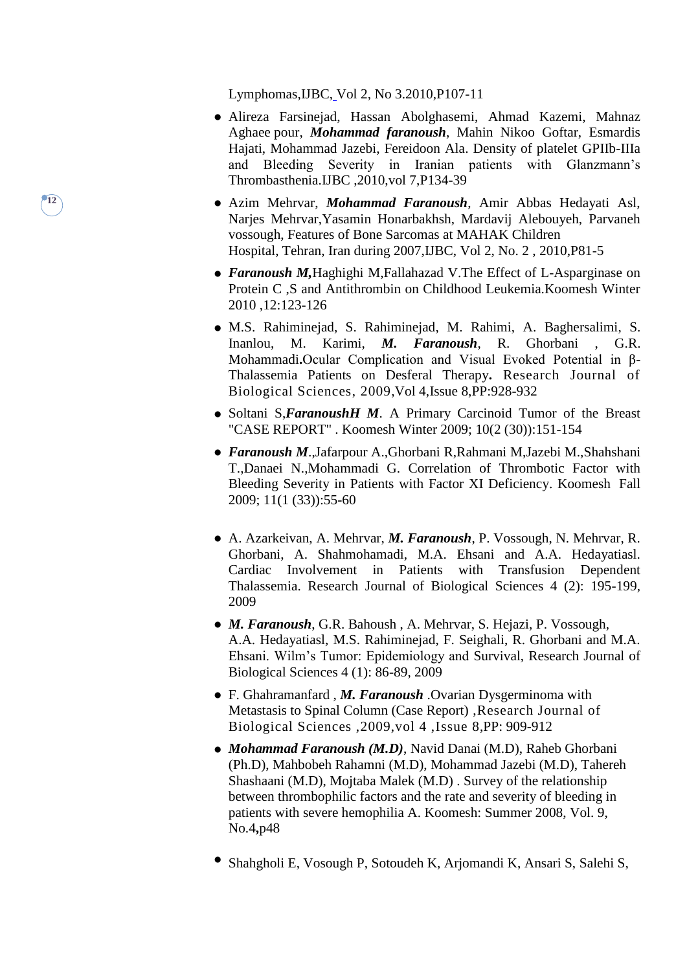Lymphomas,IJBC, Vol 2, No 3.2010,P107-11

- **●** Alireza Farsinejad, Hassan Abolghasemi, Ahmad Kazemi, Mahnaz Aghaee pour, *Mohammad faranoush*, Mahin Nikoo Goftar, Esmardis Hajati, Mohammad Jazebi, Fereidoon Ala. Density of platelet GPIIb-IIIa and Bleeding Severity in Iranian patients with Glanzmann's Thrombasthenia.IJBC ,2010,vol 7,P134-39
- **●** Azim Mehrvar, *Mohammad Faranoush*, Amir Abbas Hedayati Asl, Narjes Mehrvar,Yasamin Honarbakhsh, Mardavij Alebouyeh, Parvaneh vossough, Features of Bone Sarcomas at MAHAK Children Hospital, Tehran, Iran during 2007,IJBC, Vol 2, No. 2 , 2010,P81-5
- **●** *Faranoush M,*Haghighi M,Fallahazad V.The Effect of L-Asparginase on Protein C ,S and Antithrombin on Childhood Leukemia.Koomesh Winter 2010 ,12:123-126
- **●** [M.S. Rahiminejad,](http://scialert.net/asci/author.php?author=M.S.&last=%20Rahiminejad) [S. Rahiminejad,](http://scialert.net/asci/author.php?author=S.&last=Rahiminejad) [M. Rahimi,](http://scialert.net/asci/author.php?author=M.&last=Rahimi) [A. Baghersalimi,](http://scialert.net/asci/author.php?author=A.&last=Baghersalimi) [S.](http://scialert.net/asci/author.php?author=S.&last=Inanlou)  [Inanlou,](http://scialert.net/asci/author.php?author=S.&last=Inanlou) [M. Karimi,](http://scialert.net/asci/author.php?author=M.&last=%20Karimi) *[M. Faranoush](http://scialert.net/asci/author.php?author=M.&last=Faranoush)*, [R. Ghorbani](http://scialert.net/asci/author.php?author=R.&last=Ghorbani) , [G.R.](http://scialert.net/asci/author.php?author=G.R.&last=%20Mohammadi)  [Mohammadi](http://scialert.net/asci/author.php?author=G.R.&last=%20Mohammadi)**.**Ocular Complication and Visual Evoked Potential in β-Thalassemia Patients on Desferal Therapy**.** Research Journal of Biological Sciences, 2009,Vol 4,Issue 8,PP:928-932
- **●** Soltani S,*FaranoushH M*. [A Primary](http://www.sid.ir/En/ViewPaper.asp?ID=140764&varStr=2;SOLTANI%20SETAREH,FARANOUSH%20M.;KOOMESH;WINTER%202009;10;2%20(30);151;154) Carcinoid Tumor of the Breast ["CASE REPORT"](http://www.sid.ir/En/ViewPaper.asp?ID=140764&varStr=2;SOLTANI%20SETAREH,FARANOUSH%20M.;KOOMESH;WINTER%202009;10;2%20(30);151;154) . Koomesh Winter 2009; 10(2 (30)):151-154
- **●** *Faranoush M*.,Jafarpour A.,Ghorbani R,Rahmani M,Jazebi M.,Shahshani T.,Danaei N.,Mohammadi G. [Correlation of](http://www.sid.ir/En/ViewPaper.asp?ID=159926&varStr=5;FARANOUSH%20M.,JAFARPOUR%20A.,GHORBANI%20RAHEB,RAHMANI%20MAHBOUBEH,JAZEBI%20M.,SHASHAANI%20T.,DANAEI%20N.,MOHAMMADI%20GHOLAM%20REZA;KOOMESH;FALL%202009;11;1%20(33);55;60) Thrombotic Factor with Bleeding Severity in Patients with [Factor XI Deficiency.](http://www.sid.ir/En/ViewPaper.asp?ID=159926&varStr=5;FARANOUSH%20M.,JAFARPOUR%20A.,GHORBANI%20RAHEB,RAHMANI%20MAHBOUBEH,JAZEBI%20M.,SHASHAANI%20T.,DANAEI%20N.,MOHAMMADI%20GHOLAM%20REZA;KOOMESH;FALL%202009;11;1%20(33);55;60) Koomesh Fall 2009; 11(1 (33)):55-60
- **●** A. Azarkeivan, A. Mehrvar, *M. Faranoush*, P. Vossough, N. Mehrvar, R. Ghorbani, A. Shahmohamadi, M.A. Ehsani and A.A. Hedayatiasl. Cardiac Involvement in Patients with Transfusion Dependent Thalassemia. Research Journal of Biological Sciences 4 (2): 195-199, 2009
- **●** *M. Faranoush*, G.R. Bahoush , A. Mehrvar, S. Hejazi, P. Vossough, A.A. Hedayatiasl, M.S. Rahiminejad, F. Seighali, R. Ghorbani and M.A. Ehsani. Wilm's Tumor: Epidemiology and Survival, Research Journal of Biological Sciences 4 (1): 86-89, 2009
- **●** [F. Ghahramanfard](http://scialert.net/asci/author.php?author=F.&last=Ghahramanfard) , *[M. Faranoush](http://scialert.net/asci/author.php?author=M.&last=Faranoush)* .Ovarian Dysgerminoma with Metastasis to Spinal Column (Case Report) ,Research Journal of Biological Sciences ,2009,vol 4 ,Issue 8,PP: 909-912
- **●** *Mohammad Faranoush (M.D)*, Navid Danai (M.D), Raheb Ghorbani (Ph.D), Mahbobeh Rahamni (M.D), Mohammad Jazebi (M.D), Tahereh Shashaani (M.D), Mojtaba Malek (M.D) . Survey of the relationship between thrombophilic factors and the rate and severity of bleeding in patients with severe hemophilia A. [Koomesh: Summer 2008, Vol. 9,](http://koomesh.hbi.ir/browse.php?a_code=A-10-4-233&slc_lang=en&sid=1&ftxt=1)  [No.4](http://koomesh.hbi.ir/browse.php?a_code=A-10-4-233&slc_lang=en&sid=1&ftxt=1)**,**p48
- **●** Shahgholi E, Vosough P, Sotoudeh K, Arjomandi K, Ansari S, Salehi S,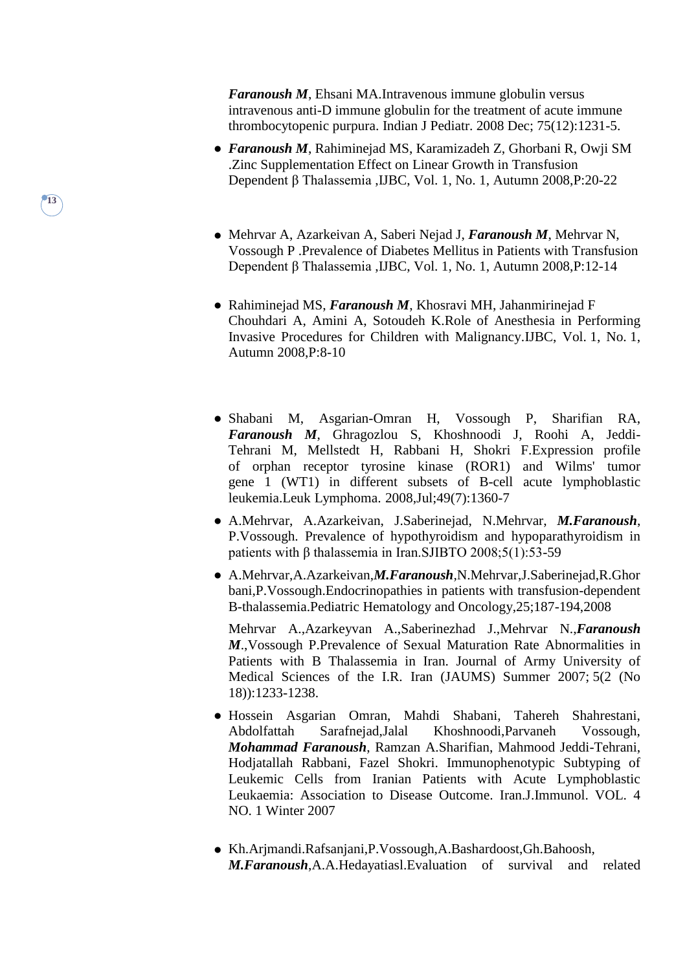*Faranoush M*, Ehsani MA[.Intravenous immune globulin versus](http://www.ncbi.nlm.nih.gov/pubmed/19190878?ordinalpos=1&itool=EntrezSystem2.PEntrez.Pubmed.Pubmed_ResultsPanel.Pubmed_DefaultReportPanel.Pubmed_RVDocSum)  [intravenous anti-D immune globulin for the treatment of acute immune](http://www.ncbi.nlm.nih.gov/pubmed/19190878?ordinalpos=1&itool=EntrezSystem2.PEntrez.Pubmed.Pubmed_ResultsPanel.Pubmed_DefaultReportPanel.Pubmed_RVDocSum)  [thrombocytopenic purpura.](http://www.ncbi.nlm.nih.gov/pubmed/19190878?ordinalpos=1&itool=EntrezSystem2.PEntrez.Pubmed.Pubmed_ResultsPanel.Pubmed_DefaultReportPanel.Pubmed_RVDocSum) Indian J Pediatr. 2008 Dec; 75(12):1231-5.

**●** *Faranoush M*, Rahiminejad MS, Karamizadeh Z, Ghorbani R, Owji SM .Zinc Supplementation Effect on Linear Growth in Transfusion Dependent β Thalassemia ,IJBC, Vol. 1, No. 1, Autumn 2008,P:20-22

**13**

- **●** Mehrvar A, Azarkeivan A, Saberi Nejad J, *Faranoush M*, Mehrvar N, Vossough P .Prevalence of Diabetes Mellitus in Patients with Transfusion Dependent β Thalassemia ,IJBC, Vol. 1, No. 1, Autumn 2008,P:12-14
- **●** Rahiminejad MS, *Faranoush M*, Khosravi MH, Jahanmirinejad F Chouhdari A, Amini A, Sotoudeh K.Role of Anesthesia in Performing Invasive Procedures for Children with Malignancy.IJBC, Vol. 1, No. 1, Autumn 2008,P:8-10
- **●** [Shabani M, Asgarian-Omran H, Vossough P, Sharifian RA,](http://www.ncbi.nlm.nih.gov/pubmed/18604725?ordinalpos=1&itool=EntrezSystem2.PEntrez.Pubmed.Pubmed_ResultsPanel.Pubmed_RVDocSum)  *Faranoush M*[, Ghragozlou S, Khoshnoodi J, Roohi A, Jeddi-](http://www.ncbi.nlm.nih.gov/pubmed/18604725?ordinalpos=1&itool=EntrezSystem2.PEntrez.Pubmed.Pubmed_ResultsPanel.Pubmed_RVDocSum)[Tehrani M, Mellstedt H, Rabbani H, Shokri F.E](http://www.ncbi.nlm.nih.gov/pubmed/18604725?ordinalpos=1&itool=EntrezSystem2.PEntrez.Pubmed.Pubmed_ResultsPanel.Pubmed_RVDocSum)xpression profile of orphan receptor tyrosine kinase (ROR1) and Wilms' tumor gene 1 (WT1) in different subsets of B-cell acute lymphoblastic leukemia.Leuk Lymphoma. 2008,Jul;49(7):1360-7
- **●** A.Mehrvar, A.Azarkeivan, J.Saberinejad, N.Mehrvar, *M.Faranoush*, P.Vossough. Prevalence of hypothyroidism and hypoparathyroidism in patients with β thalassemia in Iran.SJIBTO 2008;5(1):53-59
- **●** A.Mehrvar,A.Azarkeivan,*M.Faranoush*,N.Mehrvar,J.Saberinejad,R.Ghor bani,P.Vossough.Endocrinopathies in patients with transfusion-dependent B-thalassemia.Pediatric Hematology and Oncology,25;187-194,2008

Mehrvar A.,Azarkeyvan A.,Saberinezhad J.,Mehrvar N.,*Faranoush M*.,Vossough P.Prevalence of Sexual Maturation Rate [Abnormalities in](http://www.sid.ir/En/ViewPaper.asp?ID=107370&varStr=15;MEHRVAR%20A.,AZAR%20KEYVAN%20A.,SABERI%20NEZHAD%20J.,MEHRVAR%20N.,FARANOUSH%20M.,VOSOUGH%20PARVANEH;JOURNAL%20OF%20ARMY%20UNIVERSITY%20OF%20MEDICAL%20SCIENCES%20OF%20THE%20I.R.%20IRAN%20(JAUMS);SUMMER%202007;5;2%20(SERIAL%20NUMBER18);1233;1238) [Patients with B Thalassemia](http://www.sid.ir/En/ViewPaper.asp?ID=107370&varStr=15;MEHRVAR%20A.,AZAR%20KEYVAN%20A.,SABERI%20NEZHAD%20J.,MEHRVAR%20N.,FARANOUSH%20M.,VOSOUGH%20PARVANEH;JOURNAL%20OF%20ARMY%20UNIVERSITY%20OF%20MEDICAL%20SCIENCES%20OF%20THE%20I.R.%20IRAN%20(JAUMS);SUMMER%202007;5;2%20(SERIAL%20NUMBER18);1233;1238) in Iran. Journal of Army University of Medical Sciences of the I.R. Iran (JAUMS) Summer 2007; 5(2 (No 18)):1233-1238.

- **●** Hossein Asgarian Omran, Mahdi Shabani, Tahereh Shahrestani, Abdolfattah Sarafnejad,Jalal Khoshnoodi,Parvaneh Vossough, *Mohammad Faranoush*, Ramzan A.Sharifian, Mahmood Jeddi-Tehrani, Hodjatallah Rabbani, Fazel Shokri. Immunophenotypic Subtyping of Leukemic Cells from Iranian Patients with Acute Lymphoblastic Leukaemia: Association to Disease Outcome. Iran.J.Immunol. VOL. 4 NO. 1 Winter 2007
- **●** Kh.Arjmandi.Rafsanjani,P.Vossough,A.Bashardoost,Gh.Bahoosh, *M.Faranoush*,A.A.Hedayatiasl.Evaluation of survival and related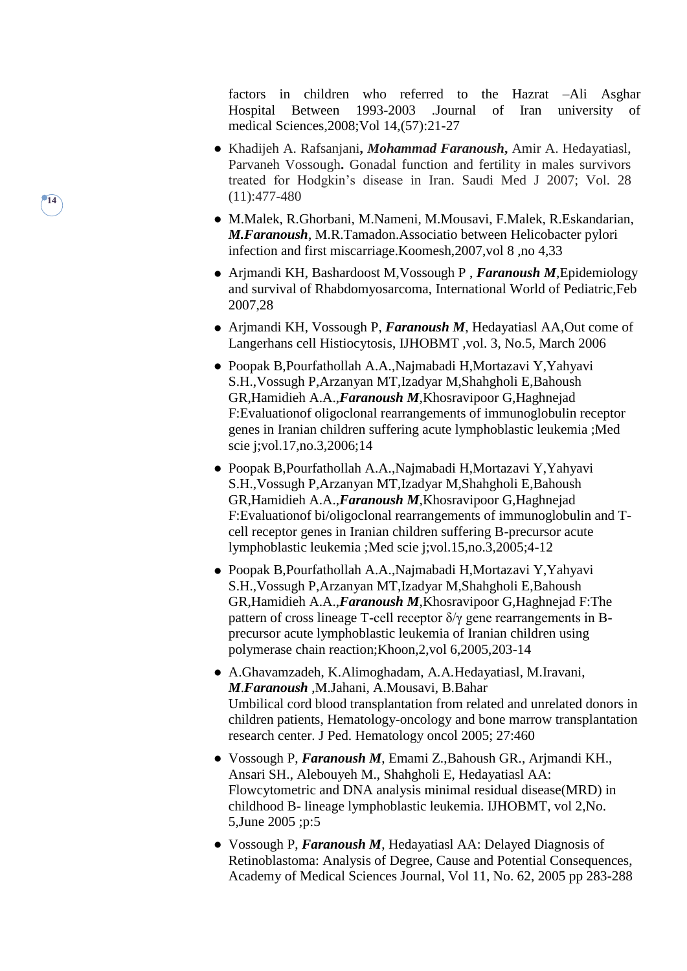factors in children who referred to the Hazrat –Ali Asghar Hospital Between 1993-2003 .Journal of Iran university of medical Sciences,2008;Vol 14,(57):21-27

**●** Khadijeh A. Rafsanjani**,** *Mohammad Faranoush***,** Amir A. Hedayatiasl, Parvaneh Vossough**.** Gonadal function and fertility in males survivors treated for Hodgkin's disease in Iran. Saudi Med J 2007; Vol. 28 (11):477-480

- **●** M.Malek, R.Ghorbani, M.Nameni, M.Mousavi, F.Malek, R.Eskandarian, *M.Faranoush*, M.R.Tamadon.Associatio between Helicobacter pylori infection and first miscarriage.Koomesh,2007,vol 8 ,no 4,33
- **●** Arjmandi KH, Bashardoost M,Vossough P , *Faranoush M*,Epidemiology and survival of Rhabdomyosarcoma, International World of Pediatric,Feb 2007,28
- **●** Arjmandi KH, Vossough P, *Faranoush M*, Hedayatiasl AA,Out come of Langerhans cell Histiocytosis, IJHOBMT ,vol. 3, No.5, March 2006
- **●** Poopak B,Pourfathollah A.A.,Najmabadi H,Mortazavi Y,Yahyavi S.H.,Vossugh P,Arzanyan MT,Izadyar M,Shahgholi E,Bahoush GR,Hamidieh A.A.,*Faranoush M*,Khosravipoor G,Haghnejad F:Evaluationof oligoclonal rearrangements of immunoglobulin receptor genes in Iranian children suffering acute lymphoblastic leukemia ;Med scie j;vol.17,no.3,2006;14
- **●** Poopak B,Pourfathollah A.A.,Najmabadi H,Mortazavi Y,Yahyavi S.H.,Vossugh P,Arzanyan MT,Izadyar M,Shahgholi E,Bahoush GR,Hamidieh A.A.,*Faranoush M*,Khosravipoor G,Haghnejad F:Evaluationof bi/oligoclonal rearrangements of immunoglobulin and Tcell receptor genes in Iranian children suffering B-precursor acute lymphoblastic leukemia ;Med scie j;vol.15,no.3,2005;4-12
- **●** Poopak B,Pourfathollah A.A.,Najmabadi H,Mortazavi Y,Yahyavi S.H.,Vossugh P,Arzanyan MT,Izadyar M,Shahgholi E,Bahoush GR,Hamidieh A.A.,*Faranoush M*,Khosravipoor G,Haghnejad F:The pattern of cross lineage T-cell receptor  $\delta/\gamma$  gene rearrangements in Bprecursor acute lymphoblastic leukemia of Iranian children using polymerase chain reaction;Khoon,2,vol 6,2005,203-14
- **●** A.Ghavamzadeh, K.Alimoghadam, A*.*A*.*Hedayatiasl, M.Iravani, *M*.*Faranoush* ,M.Jahani, A.Mousavi, B.Bahar Umbilical cord blood transplantation from related and unrelated donors in children patients, Hematology-oncology and bone marrow transplantation research center. J Ped. Hematology oncol 2005; 27:460
- **●** Vossough P, *Faranoush M*, Emami Z.,Bahoush GR., Arjmandi KH., Ansari SH., Alebouyeh M., Shahgholi E, Hedayatiasl AA: Flowcytometric and DNA analysis minimal residual disease(MRD) in childhood B- lineage lymphoblastic leukemia. IJHOBMT, vol 2,No. 5,June 2005 ;p:5
- **●** Vossough P, *Faranoush M*, Hedayatiasl AA: Delayed Diagnosis of Retinoblastoma: Analysis of Degree, Cause and Potential Consequences, Academy of Medical Sciences Journal, Vol 11, No. 62, 2005 pp 283-288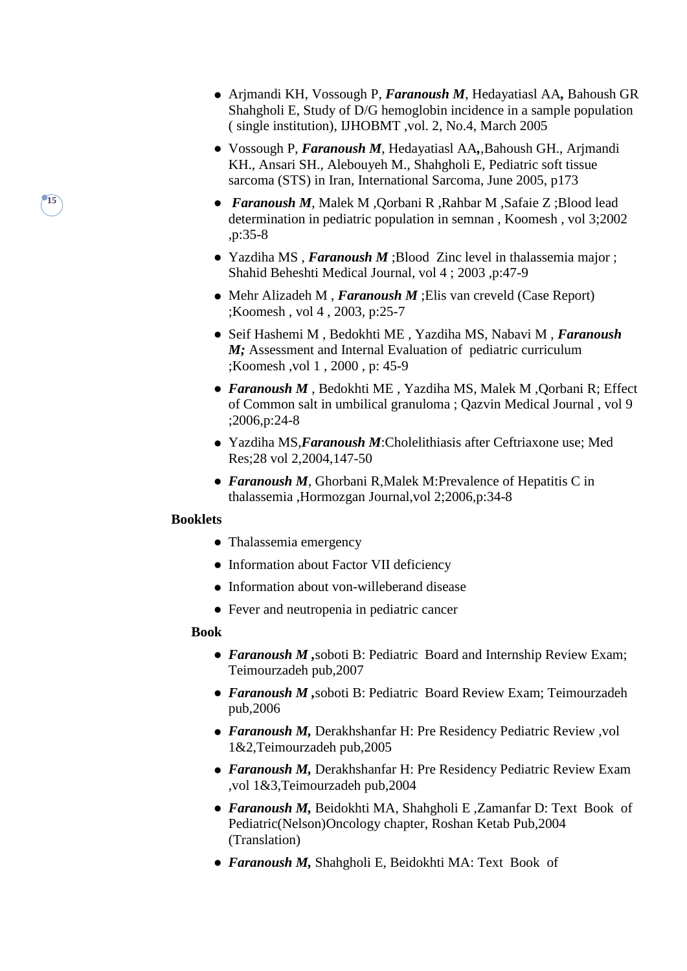- **●** Arjmandi KH, Vossough P, *Faranoush M*, Hedayatiasl AA*,* Bahoush GR Shahgholi E, Study of D/G hemoglobin incidence in a sample population ( single institution), IJHOBMT ,vol. 2, No.4, March 2005
- **●** Vossough P, *Faranoush M*, Hedayatiasl AA*,*,Bahoush GH., Arjmandi KH., Ansari SH., Alebouyeh M., Shahgholi E, Pediatric soft tissue sarcoma (STS) in Iran, International Sarcoma, June 2005, p173
- **●** *Faranoush M*, Malek M ,Qorbani R ,Rahbar M ,Safaie Z ;Blood lead determination in pediatric population in semnan , Koomesh , vol 3;2002 ,p:35-8
- **●** Yazdiha MS , *Faranoush M* ;Blood Zinc level in thalassemia major ; Shahid Beheshti Medical Journal, vol 4 ; 2003 ,p:47-9
- **●** Mehr Alizadeh M , *Faranoush M* ;Elis van creveld (Case Report) ;Koomesh , vol 4 , 2003, p:25-7
- **●** Seif Hashemi M , Bedokhti ME , Yazdiha MS, Nabavi M , *Faranoush M;* Assessment and Internal Evaluation of pediatric curriculum ;Koomesh ,vol 1 , 2000 , p: 45-9
- *Faranoush M* , Bedokhti ME, Yazdiha MS, Malek M , Oorbani R; Effect of Common salt in umbilical granuloma ; Qazvin Medical Journal , vol 9 ;2006,p:24-8
- **●** Yazdiha MS,*Faranoush M*:Cholelithiasis after Ceftriaxone use; Med Res;28 vol 2,2004,147-50
- **●** *Faranoush M*, Ghorbani R,Malek M:Prevalence of Hepatitis C in thalassemia ,Hormozgan Journal,vol 2;2006,p:34-8

#### **Booklets**

**15**

- **●** Thalassemia emergency
- **●** Information about Factor VII deficiency
- **●** Information about von-willeberand disease
- **●** Fever and neutropenia in pediatric cancer

#### **Book**

- **●** *Faranoush M ,*soboti B: Pediatric Board and Internship Review Exam; Teimourzadeh pub,2007
- **●** *Faranoush M ,*soboti B: Pediatric Board Review Exam; Teimourzadeh pub,2006
- **●** *Faranoush M,* Derakhshanfar H: Pre Residency Pediatric Review ,vol 1&2,Teimourzadeh pub,2005
- **●** *Faranoush M,* Derakhshanfar H: Pre Residency Pediatric Review Exam ,vol 1&3,Teimourzadeh pub,2004
- **●** *Faranoush M,* Beidokhti MA, Shahgholi E ,Zamanfar D: Text Book of Pediatric(Nelson)Oncology chapter, Roshan Ketab Pub,2004 (Translation)
- **●** *Faranoush M,* Shahgholi E, Beidokhti MA: Text Book of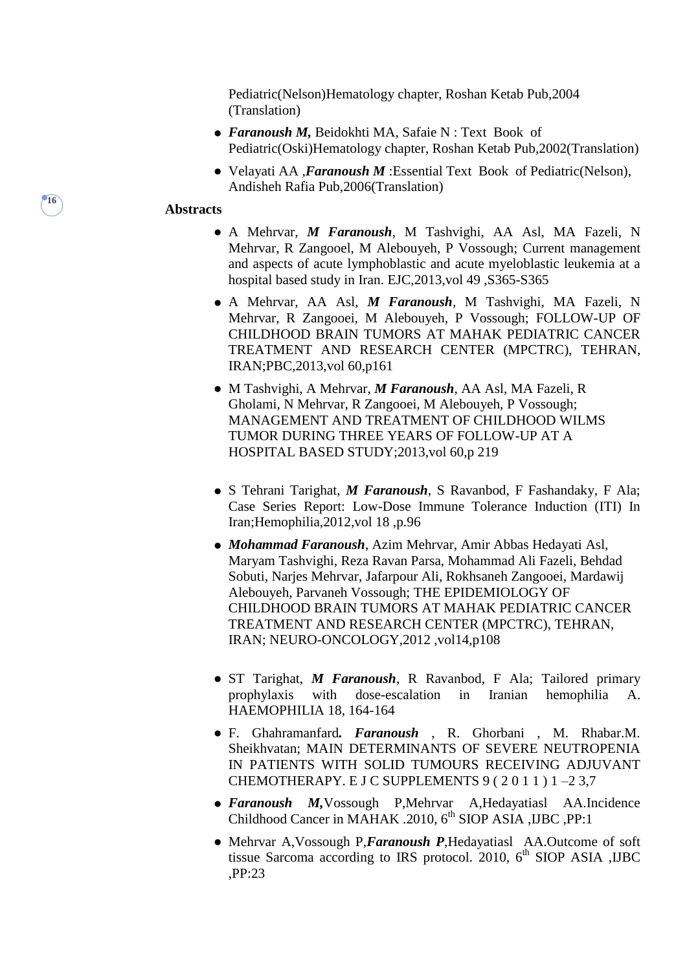Pediatric(Nelson)Hematology chapter, Roshan Ketab Pub,2004 (Translation)

- **●** *Faranoush M,* Beidokhti MA, Safaie N : Text Book of Pediatric(Oski)Hematology chapter, Roshan Ketab Pub,2002(Translation)
- **●** Velayati AA ,*Faranoush M* :Essential Text Book of Pediatric(Nelson), Andisheh Rafia Pub,2006(Translation)

#### **Abstracts**

- **●** A Mehrvar, *M Faranoush*, M Tashvighi, AA Asl, MA Fazeli, N Mehrvar, R Zangooel, M Alebouyeh, P Vossough; [Current management](http://scholar.google.com/scholar?cluster=14110892419983273141&hl=en&oi=scholarr)  [and aspects of acute lymphoblastic and acute myeloblastic leukemia at a](http://scholar.google.com/scholar?cluster=14110892419983273141&hl=en&oi=scholarr)  [hospital based study in Iran.](http://scholar.google.com/scholar?cluster=14110892419983273141&hl=en&oi=scholarr) EJC,2013,vol 49 ,S365-S365
- **●** A Mehrvar, AA Asl, *M Faranoush*, M Tashvighi, MA Fazeli, N Mehrvar, R Zangooei, M Alebouyeh, P Vossough; [FOLLOW-UP OF](http://scholar.google.com/scholar?cluster=698235776136822767&hl=en&oi=scholarr)  [CHILDHOOD BRAIN TUMORS AT MAHAK PEDIATRIC CANCER](http://scholar.google.com/scholar?cluster=698235776136822767&hl=en&oi=scholarr)  [TREATMENT AND RESEARCH CENTER \(MPCTRC\), TEHRAN,](http://scholar.google.com/scholar?cluster=698235776136822767&hl=en&oi=scholarr)  [IRAN;](http://scholar.google.com/scholar?cluster=698235776136822767&hl=en&oi=scholarr)PBC,2013,vol 60,p161
- **●** M Tashvighi, A Mehrvar, *M Faranoush*, AA Asl, MA Fazeli, R Gholami, N Mehrvar, R Zangooei, M Alebouyeh, P Vossough; [MANAGEMENT AND TREATMENT OF CHILDHOOD WILMS](http://scholar.google.com/scholar?cluster=7905926221624775746&hl=en&oi=scholarr)  [TUMOR DURING THREE YEARS OF FOLLOW-UP AT A](http://scholar.google.com/scholar?cluster=7905926221624775746&hl=en&oi=scholarr)  [HOSPITAL BASED STUDY;](http://scholar.google.com/scholar?cluster=7905926221624775746&hl=en&oi=scholarr)2013,vol 60,p 219
- **●** S Tehrani Tarighat, *M Faranoush*, S Ravanbod, F Fashandaky, F Ala; [Case Series Report: Low-Dose Immune Tolerance Induction \(ITI\) In](http://scholar.google.com/scholar?cluster=10711012338734130971&hl=en&oi=scholarr)  [Iran;](http://scholar.google.com/scholar?cluster=10711012338734130971&hl=en&oi=scholarr)Hemophilia,2012,vol 18 ,p.96
- **●** *Mohammad Faranoush*, Azim Mehrvar, Amir Abbas Hedayati Asl, Maryam Tashvighi, Reza Ravan Parsa, Mohammad Ali Fazeli, Behdad Sobuti, Narjes Mehrvar, Jafarpour Ali, Rokhsaneh Zangooei, Mardawij Alebouyeh, Parvaneh Vossough; [THE EPIDEMIOLOGY OF](http://scholar.google.com/scholar?cluster=9802685206218606652&hl=en&oi=scholarr)  [CHILDHOOD BRAIN TUMORS AT MAHAK PEDIATRIC CANCER](http://scholar.google.com/scholar?cluster=9802685206218606652&hl=en&oi=scholarr)  [TREATMENT AND RESEARCH CENTER \(MPCTRC\), TEHRAN,](http://scholar.google.com/scholar?cluster=9802685206218606652&hl=en&oi=scholarr)  [IRAN;](http://scholar.google.com/scholar?cluster=9802685206218606652&hl=en&oi=scholarr) NEURO-ONCOLOGY,2012 ,vol14,p108
- **●** ST Tarighat, *M Faranoush*, R Ravanbod, F Ala; [Tailored primary](http://scholar.google.com/citations?view_op=view_citation&hl=en&user=DUl538sAAAAJ&cstart=40&citation_for_view=DUl538sAAAAJ:M3NEmzRMIkIC)  [prophylaxis with dose-escalation in Iranian hemophilia A.](http://scholar.google.com/citations?view_op=view_citation&hl=en&user=DUl538sAAAAJ&cstart=40&citation_for_view=DUl538sAAAAJ:M3NEmzRMIkIC) HAEMOPHILIA 18, 164-164
- **●** F. Ghahramanfard*. Faranoush* , R. Ghorbani , M. Rhabar.M. Sheikhvatan; MAIN DETERMINANTS OF SEVERE NEUTROPENIA IN PATIENTS WITH SOLID TUMOURS RECEIVING ADJUVANT CHEMOTHERAPY. E J C SUPPLEMENTS 9 ( 2 0 1 1 ) 1 –2 3,7
- **●** *Faranoush M,*Vossough P,Mehrvar A,Hedayatiasl AA.Incidence Childhood Cancer in MAHAK .2010, 6<sup>th</sup> SIOP ASIA , UBC , PP:1
- **●** Mehrvar A,Vossough P,*Faranoush P*,Hedayatiasl AA.Outcome of soft tissue Sarcoma according to IRS protocol. 2010,  $6<sup>th</sup>$  SIOP ASIA , IJBC ,PP:23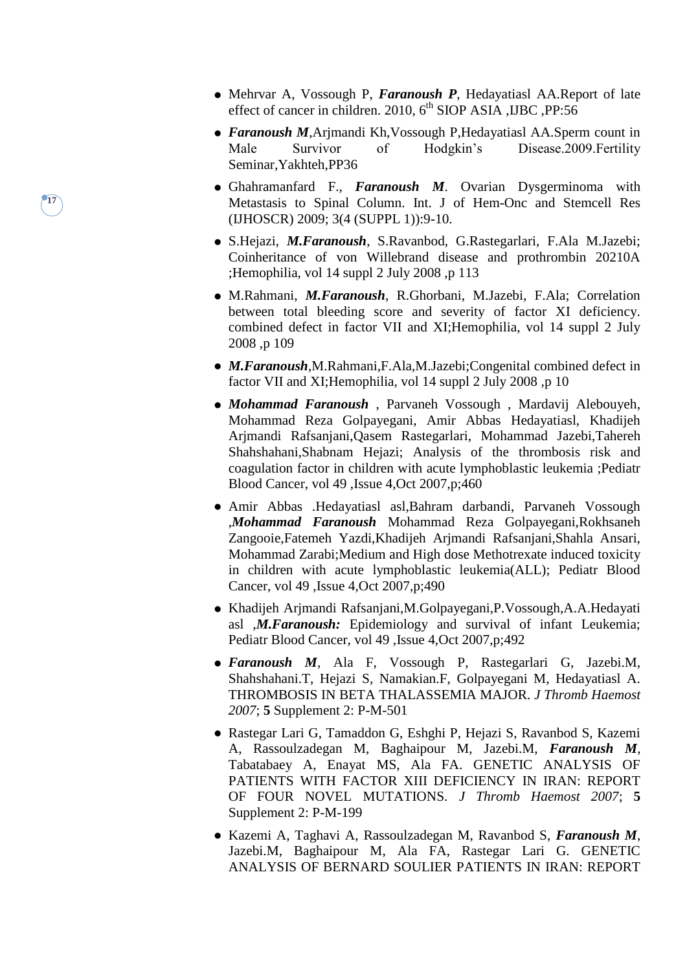- **●** Mehrvar A, Vossough P, *Faranoush P*, Hedayatiasl AA.Report of late effect of cancer in children. 2010,  $6<sup>th</sup>$  SIOP ASIA , IJBC , PP:56
- **●** *Faranoush M*,Arjmandi Kh,Vossough P,Hedayatiasl AA.Sperm count in Male Survivor of Hodgkin's Disease.2009.Fertility Seminar,Yakhteh,PP36
- **●** Ghahramanfard F., *Faranoush M*. [Ovarian Dysgerminoma with](http://www.sid.ir/En/ViewPaper.asp?ID=164083&varStr=11;GHAHRAMANFARD%20F.,FARANOUSH%20M.;INTERNATIONAL%20JOURNAL%20OF%20HEMATOLOGY-ONCOLOGY%20AND%20STEM%20CELL%20RESEARCH%20(IJHOSCR);2009;3;4%20(SUPPL%201);9;10)  [Metastasis to](http://www.sid.ir/En/ViewPaper.asp?ID=164083&varStr=11;GHAHRAMANFARD%20F.,FARANOUSH%20M.;INTERNATIONAL%20JOURNAL%20OF%20HEMATOLOGY-ONCOLOGY%20AND%20STEM%20CELL%20RESEARCH%20(IJHOSCR);2009;3;4%20(SUPPL%201);9;10) Spinal Column. Int. J of Hem-Onc and Stemcell Res (IJHOSCR) 2009; 3(4 (SUPPL 1)):9-10.

- **●** S.Hejazi, *M.Faranoush*, S.Ravanbod, G.Rastegarlari, F.Ala M.Jazebi; Coinheritance of von Willebrand disease and prothrombin 20210A ;Hemophilia, vol 14 suppl 2 July 2008 ,p 113
- **●** M.Rahmani, *M.Faranoush*, R.Ghorbani, M.Jazebi, F.Ala; Correlation between total bleeding score and severity of factor XI deficiency. combined defect in factor VII and XI;Hemophilia, vol 14 suppl 2 July 2008 ,p 109
- **●** *M.Faranoush*,M.Rahmani,F.Ala,M.Jazebi;Congenital combined defect in factor VII and XI;Hemophilia, vol 14 suppl 2 July 2008 ,p 10
- **●** *Mohammad Faranoush* , Parvaneh Vossough , Mardavij Alebouyeh, Mohammad Reza Golpayegani, Amir Abbas Hedayatiasl, Khadijeh Arjmandi Rafsanjani,Qasem Rastegarlari, Mohammad Jazebi,Tahereh Shahshahani,Shabnam Hejazi; Analysis of the thrombosis risk and coagulation factor in children with acute lymphoblastic leukemia ;Pediatr Blood Cancer, vol 49 ,Issue 4,Oct 2007,p;460
- **●** Amir Abbas .Hedayatiasl asl,Bahram darbandi, Parvaneh Vossough ,*Mohammad Faranoush* Mohammad Reza Golpayegani,Rokhsaneh Zangooie,Fatemeh Yazdi,Khadijeh Arjmandi Rafsanjani,Shahla Ansari, Mohammad Zarabi;Medium and High dose Methotrexate induced toxicity in children with acute lymphoblastic leukemia(ALL); Pediatr Blood Cancer, vol 49 ,Issue 4,Oct 2007,p;490
- **●** Khadijeh Arjmandi Rafsanjani,M.Golpayegani,P.Vossough,A.A.Hedayati asl ,*M.Faranoush:* Epidemiology and survival of infant Leukemia; Pediatr Blood Cancer, vol 49 ,Issue 4,Oct 2007,p;492
- **●** *Faranoush M*, Ala F, Vossough P, Rastegarlari G, Jazebi.M, Shahshahani.T, Hejazi S, Namakian.F, Golpayegani M, Hedayatiasl A. THROMBOSIS IN BETA THALASSEMIA MAJOR. *J Thromb Haemost 2007*; **5** Supplement 2: P-M-501
- **●** Rastegar Lari G, Tamaddon G, Eshghi P, Hejazi S, Ravanbod S, Kazemi A, Rassoulzadegan M, Baghaipour M, Jazebi.M, *Faranoush M*, Tabatabaey A, Enayat MS, Ala FA. GENETIC ANALYSIS OF PATIENTS WITH FACTOR XIII DEFICIENCY IN IRAN: REPORT OF FOUR NOVEL MUTATIONS. *J Thromb Haemost 2007*; **5** Supplement 2: P-M-199
- **●** Kazemi A, Taghavi A, Rassoulzadegan M, Ravanbod S, *Faranoush M*, Jazebi.M, Baghaipour M, Ala FA, Rastegar Lari G. GENETIC ANALYSIS OF BERNARD SOULIER PATIENTS IN IRAN: REPORT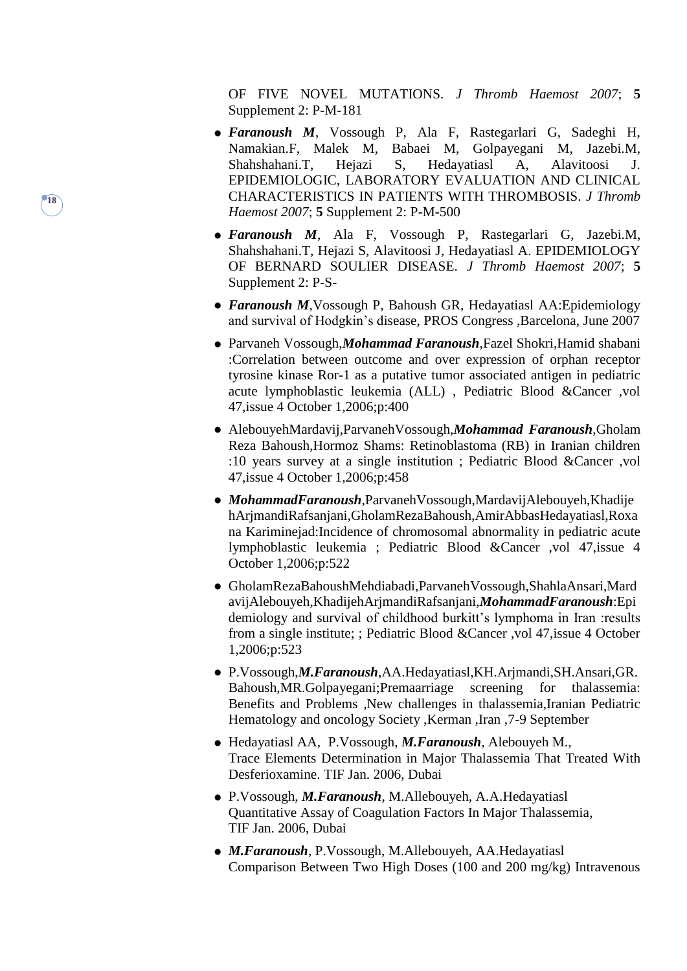OF FIVE NOVEL MUTATIONS. *J Thromb Haemost 2007*; **5** Supplement 2: P-M-181

**●** *Faranoush M*, Vossough P, Ala F, Rastegarlari G, Sadeghi H, Namakian.F, Malek M, Babaei M, Golpayegani M, Jazebi.M, Shahshahani.T, Hejazi S, Hedayatiasl A, Alavitoosi J. EPIDEMIOLOGIC, LABORATORY EVALUATION AND CLINICAL CHARACTERISTICS IN PATIENTS WITH THROMBOSIS. *J Thromb Haemost 2007*; **5** Supplement 2: P-M-500

- **●** *Faranoush M*, Ala F, Vossough P, Rastegarlari G, Jazebi.M, Shahshahani.T, Hejazi S, Alavitoosi J, Hedayatiasl A. EPIDEMIOLOGY OF BERNARD SOULIER DISEASE. *J Thromb Haemost 2007*; **5** Supplement 2: P-S-
- **●** *Faranoush M*,Vossough P, Bahoush GR, Hedayatiasl AA:Epidemiology and survival of Hodgkin's disease, PROS Congress ,Barcelona, June 2007
- **●** Parvaneh Vossough,*Mohammad Faranoush*,Fazel Shokri,Hamid shabani :Correlation between outcome and over expression of orphan receptor tyrosine kinase Ror-1 as a putative tumor associated antigen in pediatric acute lymphoblastic leukemia (ALL) , Pediatric Blood &Cancer ,vol 47,issue 4 October 1,2006;p:400
- **●** AlebouyehMardavij,ParvanehVossough,*Mohammad Faranoush*,Gholam Reza Bahoush,Hormoz Shams: Retinoblastoma (RB) in Iranian children :10 years survey at a single institution ; Pediatric Blood &Cancer ,vol 47,issue 4 October 1,2006;p:458
- **●** *MohammadFaranoush*,ParvanehVossough,MardavijAlebouyeh,Khadije hArjmandiRafsanjani,GholamRezaBahoush,AmirAbbasHedayatiasl,Roxa na Kariminejad:Incidence of chromosomal abnormality in pediatric acute lymphoblastic leukemia ; Pediatric Blood &Cancer ,vol 47,issue 4 October 1,2006;p:522
- **●** GholamRezaBahoushMehdiabadi,ParvanehVossough,ShahlaAnsari,Mard avijAlebouyeh,KhadijehArjmandiRafsanjani,*MohammadFaranoush*:Epi demiology and survival of childhood burkitt's lymphoma in Iran :results from a single institute; ; Pediatric Blood &Cancer ,vol 47,issue 4 October 1,2006;p:523
- **●** P.Vossough,*M.Faranoush*,AA.Hedayatiasl,KH.Arjmandi,SH.Ansari,GR. Bahoush,MR.Golpayegani;Premaarriage screening for thalassemia: Benefits and Problems ,New challenges in thalassemia,Iranian Pediatric Hematology and oncology Society ,Kerman ,Iran ,7-9 September
- **●** Hedayatiasl AA, P.Vossough, *M.Faranoush*, Alebouyeh M., Trace Elements Determination in Major Thalassemia That Treated With Desferioxamine. TIF Jan. 2006, Dubai
- **●** P.Vossough, *M.Faranoush*, M.Allebouyeh, A.A.Hedayatiasl Quantitative Assay of Coagulation Factors In Major Thalassemia, TIF Jan. 2006, Dubai
- **●** *M.Faranoush*, P.Vossough, M.Allebouyeh, AA.Hedayatiasl Comparison Between Two High Doses (100 and 200 mg/kg) Intravenous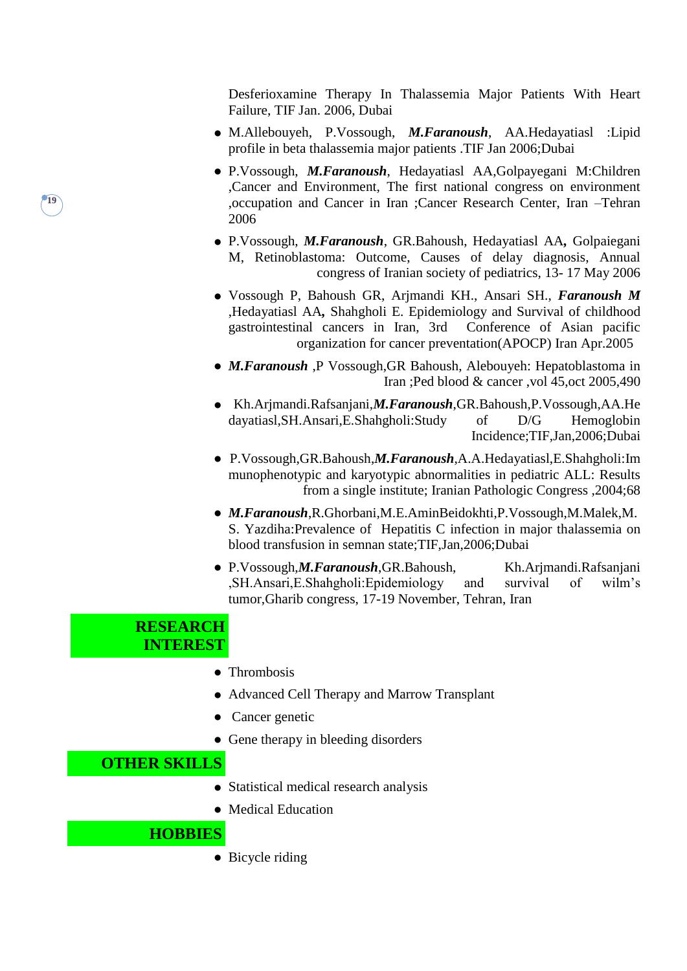Desferioxamine Therapy In Thalassemia Major Patients With Heart Failure, TIF Jan. 2006, Dubai

- **●** M.Allebouyeh, P.Vossough, *M.Faranoush*, AA.Hedayatiasl :Lipid profile in beta thalassemia major patients .TIF Jan 2006;Dubai
- **●** P.Vossough, *M.Faranoush*, Hedayatiasl AA,Golpayegani M:Children ,Cancer and Environment, The first national congress on environment ,occupation and Cancer in Iran ;Cancer Research Center, Iran –Tehran 2006
- **●** P.Vossough, *M.Faranoush*, GR.Bahoush, Hedayatiasl AA*,* Golpaiegani M, Retinoblastoma: Outcome, Causes of delay diagnosis, Annual congress of Iranian society of pediatrics, 13- 17 May 2006
- **●** Vossough P, Bahoush GR, Arjmandi KH., Ansari SH., *Faranoush M* ,Hedayatiasl AA*,* Shahgholi E. Epidemiology and Survival of childhood gastrointestinal cancers in Iran, 3rd Conference of Asian pacific organization for cancer preventation(APOCP) Iran Apr.2005
- **●** *M.Faranoush* ,P Vossough,GR Bahoush, Alebouyeh: Hepatoblastoma in Iran ;Ped blood & cancer ,vol 45,oct 2005,490
- **●** Kh.Arjmandi.Rafsanjani,*M.Faranoush*,GR.Bahoush,P.Vossough,AA.He dayatiasl,SH.Ansari,E.Shahgholi:Study of D/G Hemoglobin Incidence;TIF,Jan,2006;Dubai
- **●** P.Vossough,GR.Bahoush,*M.Faranoush*,A.A.Hedayatiasl,E.Shahgholi:Im munophenotypic and karyotypic abnormalities in pediatric ALL: Results from a single institute; Iranian Pathologic Congress ,2004;68
- **●** *M.Faranoush*,R.Ghorbani,M.E.AminBeidokhti,P.Vossough,M.Malek,M. S. Yazdiha:Prevalence of Hepatitis C infection in major thalassemia on blood transfusion in semnan state;TIF,Jan,2006;Dubai
- **•** P.Vossough,*M.Faranoush*, GR.Bahoush, Kh.Arjmandi.Rafsanjani ,SH.Ansari,E.Shahgholi:Epidemiology and survival of wilm's tumor,Gharib congress, 17-19 November, Tehran, Iran

#### **RESEARCH INTEREST**

**19**

- **●** Thrombosis
- **●** Advanced Cell Therapy and Marrow Transplant
- **●** Cancer genetic
- **●** Gene therapy in bleeding disorders

### **OTHER SKILLS**

- **●** Statistical medical research analysis
- **●** Medical Education

#### **HOBBIES**

**●** Bicycle riding